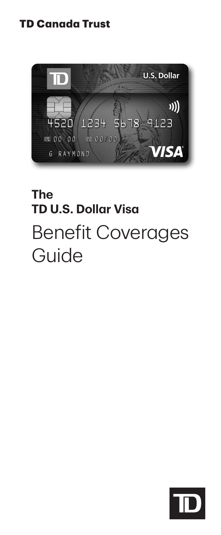## **TD Canada Trust**



# **The TD U.S. Dollar Visa** Benefit Coverages Guide

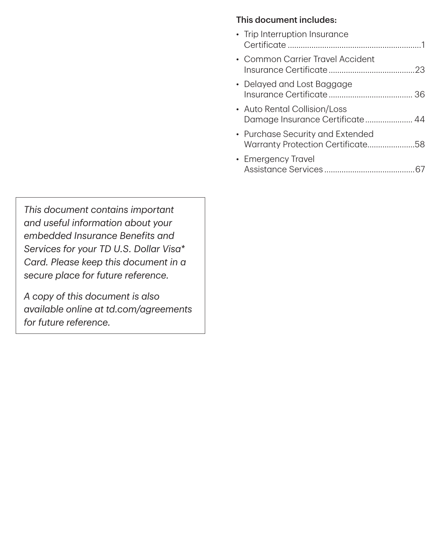#### This document includes:

| • Trip Interruption Insurance                                         |  |
|-----------------------------------------------------------------------|--|
| • Common Carrier Travel Accident                                      |  |
| • Delayed and Lost Baggage                                            |  |
| • Auto Rental Collision/Loss<br>Damage Insurance Certificate 44       |  |
| • Purchase Security and Extended<br>Warranty Protection Certificate58 |  |
| • Emergency Travel<br>Assistance Services                             |  |

*This document contains important and useful information about your embedded Insurance Benefits and Services for your TD U.S. Dollar Visa\* Card. Please keep this document in a secure place for future reference.* 

*A copy of this document is also available online at [td.com/agreements](www.td.com/agreements)  for future reference.*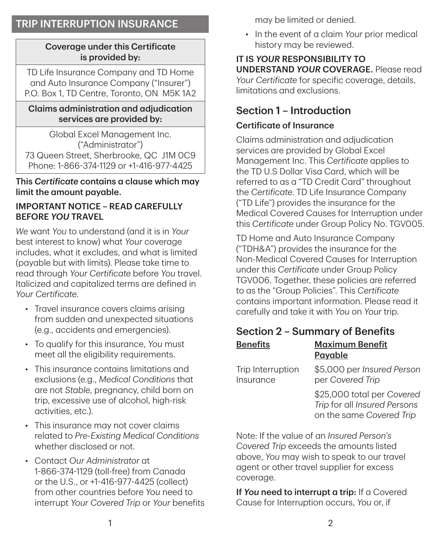## TRIP INTERRUPTION INSURANCE

#### Coverage under this Certificate is provided by:

TD Life Insurance Company and TD Home and Auto Insurance Company ("Insurer") P.O. Box 1, TD Centre, Toronto, ON M5K 1A2

#### Claims administration and adjudication services are provided by:

Global Excel Management Inc. ("Administrator") 73 Queen Street, Sherbrooke, QC J1M 0C9 Phone: 1-866-374-1129 or +1-416-977-4425

This *Certificate* contains a clause which may limit the amount payable.

#### IMPORTANT NOTICE – READ CAREFULLY BEFORE *YOU* TRAVEL

*We* want *You* to understand (and it is in *Your* best interest to know) what *Your* coverage includes, what it excludes, and what is limited (payable but with limits). Please take time to read through *Your Certificate* before *You* travel. Italicized and capitalized terms are defined in *Your Certificate*.

- Travel insurance covers claims arising from sudden and unexpected situations (e.g., accidents and emergencies).
- To qualify for this insurance, *You* must meet all the eligibility requirements.
- This insurance contains limitations and exclusions (e.g., *Medical Conditions* that are not *Stable*, pregnancy, child born on trip, excessive use of alcohol, high-risk activities, etc.).
- This insurance may not cover claims related to *Pre-Existing Medical Conditions* whether disclosed or not.
- Contact *Our Administrator* at 1-866-374-1129 (toll‑free) from Canada or the U.S., or +1-416-977-4425 (collect) from other countries before *You* need to interrupt *Your Covered Trip* or *Your* benefits

may be limited or denied.

• In the event of a claim *Your* prior medical history may be reviewed.

IT IS *YOUR* RESPONSIBILITY TO UNDERSTAND *YOUR* COVERAGE. Please read *Your Certificate* for specific coverage, details, limitations and exclusions.

### Section 1 – Introduction

#### Certificate of Insurance

Claims administration and adjudication services are provided by Global Excel Management Inc. This *Certificate* applies to the TD U.S Dollar Visa Card, which will be referred to as a "TD Credit Card" throughout the *Certificate*. TD Life Insurance Company ("TD Life") provides the insurance for the Medical Covered Causes for Interruption under this *Certificate* under Group Policy No. TGV005.

TD Home and Auto Insurance Company ("TDH&A") provides the insurance for the Non‑Medical Covered Causes for Interruption under this *Certificate* under Group Policy TGV006. Together, these policies are referred to as the "Group Policies". This *Certificate* contains important information. Please read it carefully and take it with *You* on *Your* trip.

### Section 2 – Summary of Benefits

| <b>Benefits</b>                | <b>Maximum Benefit</b><br>Payable                                                      |
|--------------------------------|----------------------------------------------------------------------------------------|
| Trip Interruption<br>Insurance | \$5,000 per Insured Person<br>per Covered Trip                                         |
|                                | \$25,000 total per Covered<br>Trip for all Insured Persons<br>on the same Covered Trip |

Note: If the value of an *Insured Person's Covered Trip* exceeds the amounts listed above, *You* may wish to speak to our travel agent or other travel supplier for excess coverage.

If **You need to interrupt a trip:** If a Covered Cause for Interruption occurs, *You* or, if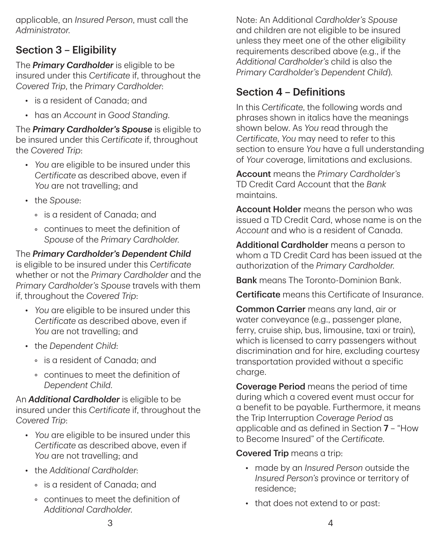applicable, an *Insured Person*, must call the *Administrator*.

## Section 3 – Eligibility

The *Primary Cardholder* is eligible to be insured under this *Certificate* if, throughout the *Covered Trip*, the *Primary Cardholder*:

- is a resident of Canada; and
- has an *Account* in *Good Standing*.

The *Primary Cardholder's Spouse* is eligible to be insured under this *Certificate* if, throughout the *Covered Trip*:

- *You* are eligible to be insured under this *Certificate* as described above, even if *You* are not travelling; and
- the *Spouse*:
	- is a resident of Canada; and
	- continues to meet the definition of *Spouse* of the *Primary Cardholder*.

The *Primary Cardholder's Dependent Child* is eligible to be insured under this *Certificate* whether or not the *Primary Cardholder* and the *Primary Cardholder's Spouse* travels with them if, throughout the *Covered Trip*:

- *You* are eligible to be insured under this *Certificate* as described above, even if *You* are not travelling; and
- the *Dependent Child*:
	- is a resident of Canada; and
	- continues to meet the definition of *Dependent Child*.

An *Additional Cardholder* is eligible to be insured under this *Certificate* if, throughout the *Covered Trip*:

- *You* are eligible to be insured under this *Certificate* as described above, even if *You* are not travelling; and
- the *Additional Cardholder*:
	- is a resident of Canada; and
	- continues to meet the definition of *Additional Cardholder*.

Note: An Additional *Cardholder's Spouse* and children are not eligible to be insured unless they meet one of the other eligibility requirements described above (e.g., if the *Additional Cardholder's* child is also the *Primary Cardholder's Dependent Child*).

## Section 4 – Definitions

In this *Certificate*, the following words and phrases shown in italics have the meanings shown below. As *You* read through the *Certificate*, *You* may need to refer to this section to ensure *You* have a full understanding of *Your* coverage, limitations and exclusions.

Account means the *Primary Cardholder's* TD Credit Card Account that the *Bank* maintains.

Account Holder means the person who was issued a TD Credit Card, whose name is on the *Account* and who is a resident of Canada.

Additional Cardholder means a person to whom a TD Credit Card has been issued at the authorization of the *Primary Cardholder*.

Bank means The Toronto‑Dominion Bank.

Certificate means this Certificate of Insurance.

Common Carrier means any land, air or water conveyance (e.g., passenger plane, ferry, cruise ship, bus, limousine, taxi or train), which is licensed to carry passengers without discrimination and for hire, excluding courtesy transportation provided without a specific charge.

Coverage Period means the period of time during which a covered event must occur for a benefit to be payable. Furthermore, it means the Trip Interruption *Coverage Period* as applicable and as defined in Section 7 – "How to Become Insured" of the *Certificate*.

### Covered Trip means a trip:

- made by an *Insured Person* outside the *Insured Person's* province or territory of residence;
- that does not extend to or past: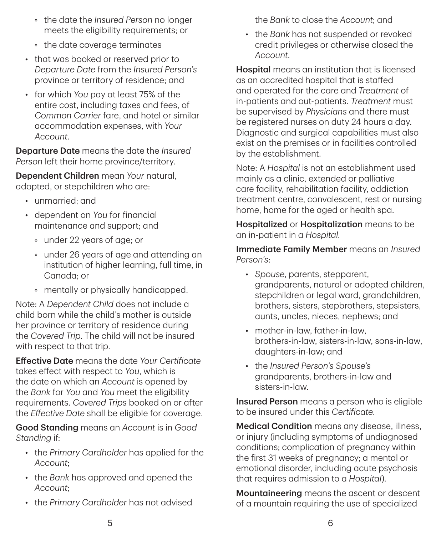- the date the *Insured Person* no longer meets the eligibility requirements; or
- the date coverage terminates
- that was booked or reserved prior to *Departure Date* from the *Insured Person's* province or territory of residence; and
- for which *You* pay at least 75% of the entire cost, including taxes and fees, of *Common Carrier* fare, and hotel or similar accommodation expenses, with *Your Account*.

Departure Date means the date the *Insured Person* left their home province/territory.

Dependent Children mean *Your* natural, adopted, or stepchildren who are:

- unmarried; and
- dependent on *You* for financial maintenance and support; and
	- under 22 years of age; or
	- under 26 years of age and attending an institution of higher learning, full time, in Canada; or
	- mentally or physically handicapped.

Note: A *Dependent Child* does not include a child born while the child's mother is outside her province or territory of residence during the *Covered Trip*. The child will not be insured with respect to that trip.

Effective Date means the date *Your Certificate* takes effect with respect to *You*, which is the date on which an *Account* is opened by the *Bank* for *You* and *You* meet the eligibility requirements. *Covered Trips* booked on or after the *Effective Date* shall be eligible for coverage.

Good Standing means an *Account* is in *Good Standing* if:

- the *Primary Cardholder* has applied for the *Account*;
- the *Bank* has approved and opened the *Account*;
- the *Primary Cardholder* has not advised

the *Bank* to close the *Account*; and

• the *Bank* has not suspended or revoked credit privileges or otherwise closed the *Account*.

Hospital means an institution that is licensed as an accredited hospital that is staffed and operated for the care and *Treatment* of in‑patients and out‑patients. *Treatment* must be supervised by *Physicians* and there must be registered nurses on duty 24 hours a day. Diagnostic and surgical capabilities must also exist on the premises or in facilities controlled by the establishment.

Note: A *Hospital* is not an establishment used mainly as a clinic, extended or palliative care facility, rehabilitation facility, addiction treatment centre, convalescent, rest or nursing home, home for the aged or health spa.

Hospitalized or Hospitalization means to be an in‑patient in a *Hospital*.

Immediate Family Member means an *Insured Person's*:

- *Spouse*, parents, stepparent, grandparents, natural or adopted children, stepchildren or legal ward, grandchildren, brothers, sisters, stepbrothers, stepsisters, aunts, uncles, nieces, nephews; and
- mother-in-law, father-in-law, brothers‑in‑law, sisters‑in‑law, sons‑in‑law, daughters‑in‑law; and
- the *Insured Person's Spouse's* grandparents, brothers‑in‑law and sisters‑in‑law.

Insured Person means a person who is eligible to be insured under this *Certificate*.

Medical Condition means any disease, illness, or injury (including symptoms of undiagnosed conditions; complication of pregnancy within the first 31 weeks of pregnancy; a mental or emotional disorder, including acute psychosis that requires admission to a *Hospital*).

Mountaineering means the ascent or descent of a mountain requiring the use of specialized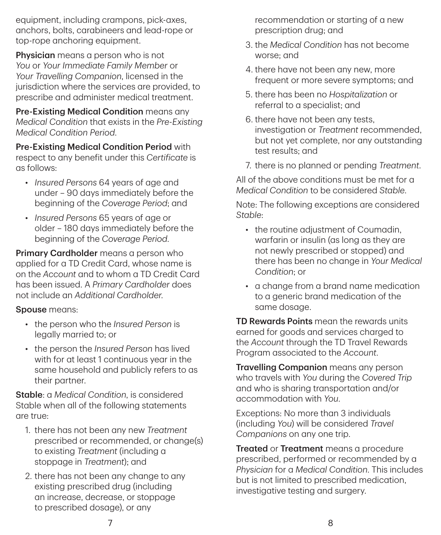equipment, including crampons, pick‑axes, anchors, bolts, carabineers and lead‑rope or top-rope anchoring equipment.

**Physician** means a person who is not *You* or *Your Immediate Family Member* or *Your Travelling Companion*, licensed in the jurisdiction where the services are provided, to prescribe and administer medical treatment.

Pre-Existing Medical Condition means any *Medical Condition* that exists in the *Pre-Existing Medical Condition Period*.

Pre‑Existing Medical Condition Period with respect to any benefit under this *Certificate* is as follows:

- *Insured Persons* 64 years of age and under – 90 days immediately before the beginning of the *Coverage Period*; and
- *Insured Persons* 65 years of age or older – 180 days immediately before the beginning of the *Coverage Period*.

Primary Cardholder means a person who applied for a TD Credit Card, whose name is on the *Account* and to whom a TD Credit Card has been issued. A *Primary Cardholder* does not include an *Additional Cardholder*.

#### Spouse means:

- the person who the *Insured Person* is legally married to; or
- the person the *Insured Person* has lived with for at least 1 continuous year in the same household and publicly refers to as their partner.

Stable: a *Medical Condition*, is considered Stable when all of the following statements are true:

- 1. there has not been any new *Treatment* prescribed or recommended, or change(s) to existing *Treatment* (including a stoppage in *Treatment*); and
- 2. there has not been any change to any existing prescribed drug (including an increase, decrease, or stoppage to prescribed dosage), or any

recommendation or starting of a new prescription drug; and

- 3. the *Medical Condition* has not become worse; and
- 4. there have not been any new, more frequent or more severe symptoms; and
- 5. there has been no *Hospitalization* or referral to a specialist; and
- 6. there have not been any tests, investigation or *Treatment* recommended, but not yet complete, nor any outstanding test results; and
- 7. there is no planned or pending *Treatment*.

All of the above conditions must be met for a *Medical Condition* to be considered *Stable*.

Note: The following exceptions are considered *Stable*:

- the routine adiustment of Coumadin. warfarin or insulin (as long as they are not newly prescribed or stopped) and there has been no change in *Your Medical Condition*; or
- a change from a brand name medication to a generic brand medication of the same dosage.

**TD Rewards Points** mean the rewards units earned for goods and services charged to the *Account* through the TD Travel Rewards Program associated to the *Account*.

Travelling Companion means any person who travels with *You* during the *Covered Trip* and who is sharing transportation and/or accommodation with *You*.

Exceptions: No more than 3 individuals (including *You*) will be considered *Travel Companions* on any one trip.

**Treated or Treatment** means a procedure prescribed, performed or recommended by a *Physician* for a *Medical Condition*. This includes but is not limited to prescribed medication, investigative testing and surgery.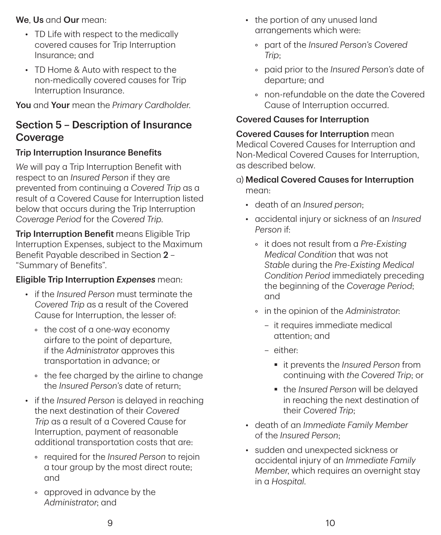#### We, Us and Our mean:

- TD Life with respect to the medically covered causes for Trip Interruption Insurance; and
- TD Home & Auto with respect to the non‑medically covered causes for Trip Interruption Insurance.

You and Your mean the *Primary Cardholder*.

## Section 5 – Description of Insurance Coverage

### Trip Interruption Insurance Benefits

*We* will pay a Trip Interruption Benefit with respect to an *Insured Person* if they are prevented from continuing a *Covered Trip* as a result of a Covered Cause for Interruption listed below that occurs during the Trip Interruption *Coverage Period* for the *Covered Trip*.

Trip Interruption Benefit means Eligible Trip Interruption Expenses, subject to the Maximum Benefit Payable described in Section 2 – "Summary of Benefits".

### Eligible Trip Interruption *Expenses* mean:

- if the *Insured Person* must terminate the *Covered Trip* as a result of the Covered Cause for Interruption, the lesser of:
	- the cost of a one‑way economy airfare to the point of departure, if the *Administrator* approves this transportation in advance; or
	- the fee charged by the airline to change the *Insured Person's* date of return;
- if the *Insured Person* is delayed in reaching the next destination of their *Covered Trip* as a result of a Covered Cause for Interruption, payment of reasonable additional transportation costs that are:
	- required for the *Insured Person* to rejoin a tour group by the most direct route; and
	- approved in advance by the *Administrator*; and
- the portion of any unused land arrangements which were:
	- part of the *Insured Person's Covered Trip*;
	- paid prior to the *Insured Person's* date of departure; and
	- non‑refundable on the date the Covered Cause of Interruption occurred.

### Covered Causes for Interruption

Covered Causes for Interruption mean Medical Covered Causes for Interruption and Non‑Medical Covered Causes for Interruption, as described below.

- a) Medical Covered Causes for Interruption mean:
	- death of an *Insured person*;
	- accidental injury or sickness of an *Insured Person* if:
		- it does not result from a *Pre-Existing Medical Condition* that was not *Stable* during the *Pre-Existing Medical Condition Period* immediately preceding the beginning of the *Coverage Period*; and
		- in the opinion of the *Administrator*:
			- it requires immediate medical attention; and
			- either:
				- it prevents the *Insured Person* from continuing with *the Covered Trip*; or
				- § the *Insured Person* will be delayed in reaching the next destination of their *Covered Trip*;
	- death of an *Immediate Family Member* of the *Insured Person*;
	- sudden and unexpected sickness or accidental injury of an *Immediate Family Member*, which requires an overnight stay in a *Hospital*.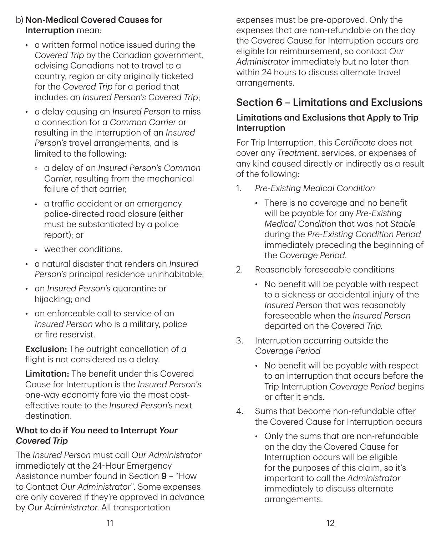- b) Non‑Medical Covered Causes for Interruption mean:
	- a written formal notice issued during the *Covered Trip* by the Canadian government, advising Canadians not to travel to a country, region or city originally ticketed for the *Covered Trip* for a period that includes an *Insured Person's Covered Trip*;
	- a delay causing an *Insured Person* to miss a connection for a *Common Carrier* or resulting in the interruption of an *Insured Person's* travel arrangements, and is limited to the following:
		- a delay of an *Insured Person's Common Carrier*, resulting from the mechanical failure of that carrier;
		- a traffic accident or an emergency police‑directed road closure (either must be substantiated by a police report); or
		- weather conditions.
	- a natural disaster that renders an *Insured Person's* principal residence uninhabitable;
	- an *Insured Person's* quarantine or hijacking; and
	- an enforceable call to service of an *Insured Person* who is a military, police or fire reservist.

**Exclusion:** The outright cancellation of a flight is not considered as a delay.

**Limitation:** The benefit under this Covered Cause for Interruption is the *Insured Person's* one-way economy fare via the most costeffective route to the *Insured Person's* next destination.

#### What to do if *You* need to Interrupt *Your Covered Trip*

The *Insured Person* must call *Our Administrator* immediately at the 24-Hour Emergency Assistance number found in Section 9 – "How to Contact *Our Administrator*". Some expenses are only covered if they're approved in advance by *Our Administrator*. All transportation

expenses must be pre‑approved. Only the expenses that are non‑refundable on the day the Covered Cause for Interruption occurs are eligible for reimbursement, so contact *Our Administrator* immediately but no later than within 24 hours to discuss alternate travel arrangements.

## Section 6 – Limitations and Exclusions

### Limitations and Exclusions that Apply to Trip Interruption

For Trip Interruption, this *Certificate* does not cover any *Treatment*, services, or expenses of any kind caused directly or indirectly as a result of the following:

- 1. *Pre-Existing Medical Condition*
	- There is no coverage and no benefit will be payable for any *Pre-Existing Medical Condition* that was not *Stable* during the *Pre-Existing Condition Period* immediately preceding the beginning of the *Coverage Period*.
- 2. Reasonably foreseeable conditions
	- No benefit will be payable with respect to a sickness or accidental injury of the *Insured Person* that was reasonably foreseeable when the *Insured Person* departed on the *Covered Trip*.
- 3. Interruption occurring outside the *Coverage Period*
	- No benefit will be payable with respect to an interruption that occurs before the Trip Interruption *Coverage Period* begins or after it ends.
- 4. Sums that become non‑refundable after the Covered Cause for Interruption occurs
	- Only the sums that are non-refundable on the day the Covered Cause for Interruption occurs will be eligible for the purposes of this claim, so it's important to call the *Administrator* immediately to discuss alternate arrangements.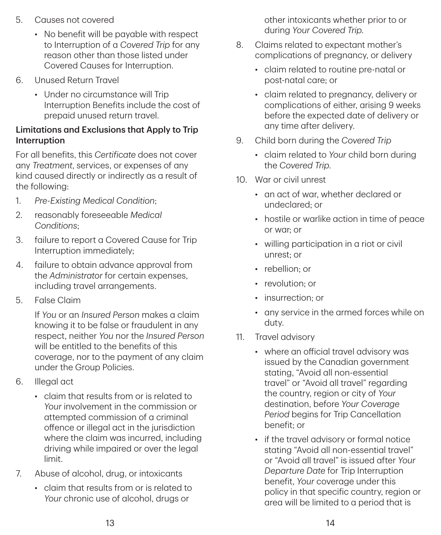- 5. Causes not covered
	- No benefit will be payable with respect to Interruption of a *Covered Trip* for any reason other than those listed under Covered Causes for Interruption.
- 6. Unused Return Travel
	- Under no circumstance will Trip Interruption Benefits include the cost of prepaid unused return travel.

#### Limitations and Exclusions that Apply to Trip Interruption

For all benefits, this *Certificate* does not cover any *Treatment*, services, or expenses of any kind caused directly or indirectly as a result of the following:

- 1. *Pre-Existing Medical Condition*;
- 2. reasonably foreseeable *Medical Conditions*;
- 3. failure to report a Covered Cause for Trip Interruption immediately;
- 4. failure to obtain advance approval from the *Administrator* for certain expenses, including travel arrangements.
- 5. False Claim

If *You* or an *Insured Person* makes a claim knowing it to be false or fraudulent in any respect, neither *You* nor the *Insured Person* will be entitled to the benefits of this coverage, nor to the payment of any claim under the Group Policies.

- 6. Illegal act
	- claim that results from or is related to *Your* involvement in the commission or attempted commission of a criminal offence or illegal act in the jurisdiction where the claim was incurred, including driving while impaired or over the legal limit.
- 7. Abuse of alcohol, drug, or intoxicants
	- claim that results from or is related to *Your* chronic use of alcohol, drugs or

other intoxicants whether prior to or during *Your Covered Trip*.

- 8. Claims related to expectant mother's complications of pregnancy, or delivery
	- claim related to routine pre-natal or post‑natal care; or
	- claim related to pregnancy, delivery or complications of either, arising 9 weeks before the expected date of delivery or any time after delivery.
- 9. Child born during the *Covered Trip*
	- claim related to *Your* child born during the *Covered Trip*.
- 10. War or civil unrest
	- an act of war, whether declared or undeclared; or
	- hostile or warlike action in time of peace or war; or
	- willing participation in a riot or civil unrest; or
	- rebellion: or
	- revolution: or
	- insurrection; or
	- any service in the armed forces while on duty.
- 11. Travel advisory
	- where an official travel advisory was issued by the Canadian government stating, "Avoid all non‑essential travel" or "Avoid all travel" regarding the country, region or city of *Your* destination, before *Your Coverage Period* begins for Trip Cancellation benefit; or
	- if the travel advisory or formal notice stating "Avoid all non‑essential travel" or "Avoid all travel" is issued after *Your Departure Date* for Trip Interruption benefit, *Your* coverage under this policy in that specific country, region or area will be limited to a period that is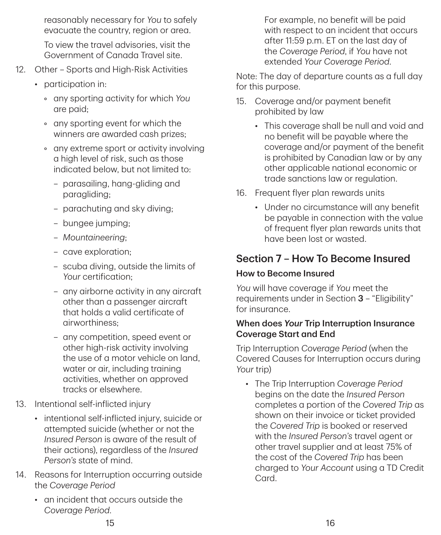reasonably necessary for *You* to safely evacuate the country, region or area.

To view the travel advisories, visit the Government of Canada Travel site.

- 12. Other Sports and High-Risk Activities
	- participation in:
		- any sporting activity for which *You* are paid;
		- any sporting event for which the winners are awarded cash prizes;
		- any extreme sport or activity involving a high level of risk, such as those indicated below, but not limited to:
			- parasailing, hang‑gliding and paragliding;
			- parachuting and sky diving;
			- bungee jumping;
			- *Mountaineering*;
			- cave exploration;
			- scuba diving, outside the limits of *Your* certification;
			- any airborne activity in any aircraft other than a passenger aircraft that holds a valid certificate of airworthiness;
			- any competition, speed event or other high-risk activity involving the use of a motor vehicle on land, water or air, including training activities, whether on approved tracks or elsewhere.
- 13. Intentional self‑inflicted injury
	- intentional self-inflicted injury, suicide or attempted suicide (whether or not the *Insured Person* is aware of the result of their actions), regardless of the *Insured Person's* state of mind.
- 14. Reasons for Interruption occurring outside the *Coverage Period*
	- an incident that occurs outside the *Coverage Period*.

For example, no benefit will be paid with respect to an incident that occurs after 11:59 p.m. ET on the last day of the *Coverage Period*, if *You* have not extended *Your Coverage Period*.

Note: The day of departure counts as a full day for this purpose.

- 15. Coverage and/or payment benefit prohibited by law
	- This coverage shall be null and void and no benefit will be payable where the coverage and/or payment of the benefit is prohibited by Canadian law or by any other applicable national economic or trade sanctions law or regulation.
- 16. Frequent flyer plan rewards units
	- Under no circumstance will any benefit be payable in connection with the value of frequent flyer plan rewards units that have been lost or wasted.

## Section 7 – How To Become Insured

### How to Become Insured

*You* will have coverage if *You* meet the requirements under in Section 3 – "Eligibility" for insurance.

#### When does *Your* Trip Interruption Insurance Coverage Start and End

Trip Interruption *Coverage Period* (when the Covered Causes for Interruption occurs during *Your* trip)

• The Trip Interruption *Coverage Period*  begins on the date the *Insured Person* completes a portion of the *Covered Trip* as shown on their invoice or ticket provided the *Covered Trip* is booked or reserved with the *Insured Person's* travel agent or other travel supplier and at least 75% of the cost of the *Covered Trip* has been charged to *Your Account* using a TD Credit Card.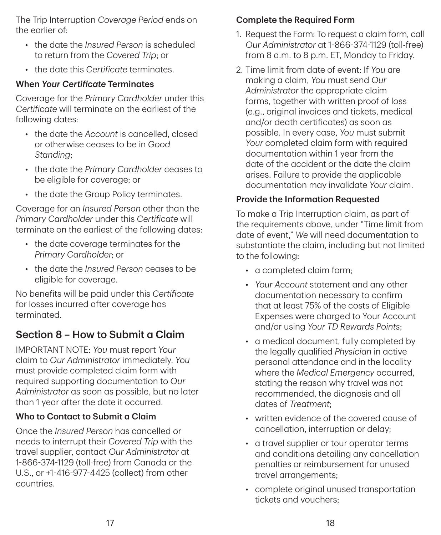The Trip Interruption *Coverage Period* ends on the earlier of:

- the date the *Insured Person* is scheduled to return from the *Covered Trip*; or
- the date this *Certificate* terminates.

### When *Your Certificate* Terminates

Coverage for the *Primary Cardholder* under this *Certificate* will terminate on the earliest of the following dates:

- the date the *Account* is cancelled, closed or otherwise ceases to be in *Good Standing*;
- the date the *Primary Cardholder* ceases to be eligible for coverage; or
- the date the Group Policy terminates.

Coverage for an *Insured Person* other than the *Primary Cardholder* under this *Certificate* will terminate on the earliest of the following dates:

- the date coverage terminates for the *Primary Cardholder*; or
- the date the *Insured Person* ceases to be eligible for coverage.

No benefits will be paid under this *Certificate* for losses incurred after coverage has terminated.

## Section 8 – How to Submit a Claim

IMPORTANT NOTE: *You* must report *Your* claim to *Our Administrator* immediately. *You* must provide completed claim form with required supporting documentation to *Our Administrator* as soon as possible, but no later than 1 year after the date it occurred.

## Who to Contact to Submit a Claim

Once the *Insured Person* has cancelled or needs to interrupt their *Covered Trip* with the travel supplier, contact *Our Administrator* at 1-866-374-1129 (toll‑free) from Canada or the U.S., or +1-416-977-4425 (collect) from other countries.

### Complete the Required Form

- 1. Request the Form: To request a claim form, call *Our Administrator* at 1-866-374-1129 (toll‑free) from 8 a.m. to 8 p.m. ET, Monday to Friday.
- 2. Time limit from date of event: If *You* are making a claim, *You* must send *Our Administrator* the appropriate claim forms, together with written proof of loss (e.g., original invoices and tickets, medical and/or death certificates) as soon as possible. In every case, *You* must submit *Your* completed claim form with required documentation within 1 year from the date of the accident or the date the claim arises. Failure to provide the applicable documentation may invalidate *Your* claim.

### Provide the Information Requested

To make a Trip Interruption claim, as part of the requirements above, under "Time limit from date of event," *We* will need documentation to substantiate the claim, including but not limited to the following:

- a completed claim form;
- *Your Account* statement and any other documentation necessary to confirm that at least 75% of the costs of Eligible Expenses were charged to Your Account and/or using *Your TD Rewards Points*;
- a medical document, fully completed by the legally qualified *Physician* in active personal attendance and in the locality where the *Medical Emergency* occurred, stating the reason why travel was not recommended, the diagnosis and all dates of *Treatment*;
- written evidence of the covered cause of cancellation, interruption or delay;
- a travel supplier or tour operator terms and conditions detailing any cancellation penalties or reimbursement for unused travel arrangements;
- complete original unused transportation tickets and vouchers;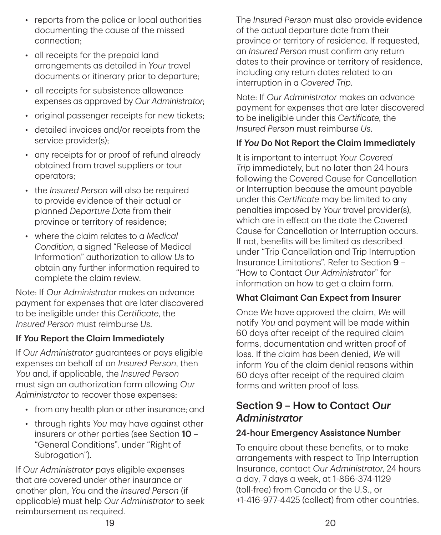- reports from the police or local authorities documenting the cause of the missed connection;
- all receipts for the prepaid land arrangements as detailed in *Your* travel documents or itinerary prior to departure;
- all receipts for subsistence allowance expenses as approved by *Our Administrator*;
- original passenger receipts for new tickets;
- detailed invoices and/or receipts from the service provider(s);
- any receipts for or proof of refund already obtained from travel suppliers or tour operators;
- the *Insured Person* will also be required to provide evidence of their actual or planned *Departure Date* from their province or territory of residence;
- where the claim relates to a *Medical Condition*, a signed "Release of Medical Information" authorization to allow *Us* to obtain any further information required to complete the claim review.

Note: If *Our Administrator* makes an advance payment for expenses that are later discovered to be ineligible under this *Certificate*, the *Insured Person* must reimburse *Us*.

### If *You* Report the Claim Immediately

If *Our Administrator* guarantees or pays eligible expenses on behalf of an *Insured Person*, then *You* and, if applicable, the *Insured Person* must sign an authorization form allowing *Our Administrator* to recover those expenses:

- from any health plan or other insurance; and
- through rights *You* may have against other insurers or other parties (see Section 10 – "General Conditions", under "Right of Subrogation").

If *Our Administrator* pays eligible expenses that are covered under other insurance or another plan, *You* and the *Insured Person* (if applicable) must help *Our Administrator* to seek reimbursement as required.

The *Insured Person* must also provide evidence of the actual departure date from their province or territory of residence. If requested, an *Insured Person* must confirm any return dates to their province or territory of residence, including any return dates related to an interruption in a *Covered Trip*.

Note: If *Our Administrator* makes an advance payment for expenses that are later discovered to be ineligible under this *Certificate*, the *Insured Person* must reimburse *Us*.

#### If *You* Do Not Report the Claim Immediately

It is important to interrupt *Your Covered Trip* immediately, but no later than 24 hours following the Covered Cause for Cancellation or Interruption because the amount payable under this *Certificate* may be limited to any penalties imposed by *Your* travel provider(s), which are in effect on the date the Covered Cause for Cancellation or Interruption occurs. If not, benefits will be limited as described under "Trip Cancellation and Trip Interruption Insurance Limitations". Refer to Section 9 – "How to Contact *Our Administrator*" for information on how to get a claim form.

#### What Claimant Can Expect from Insurer

Once *We* have approved the claim, *We* will notify *You* and payment will be made within 60 days after receipt of the required claim forms, documentation and written proof of loss. If the claim has been denied, *We* will inform *You* of the claim denial reasons within 60 days after receipt of the required claim forms and written proof of loss.

## Section 9 – How to Contact *Our Administrator*

#### 24‑hour Emergency Assistance Number

To enquire about these benefits, or to make arrangements with respect to Trip Interruption Insurance, contact *Our Administrator*, 24 hours a day, 7 days a week, at 1-866-374-1129 (toll‑free) from Canada or the U.S., or +1-416-977-4425 (collect) from other countries.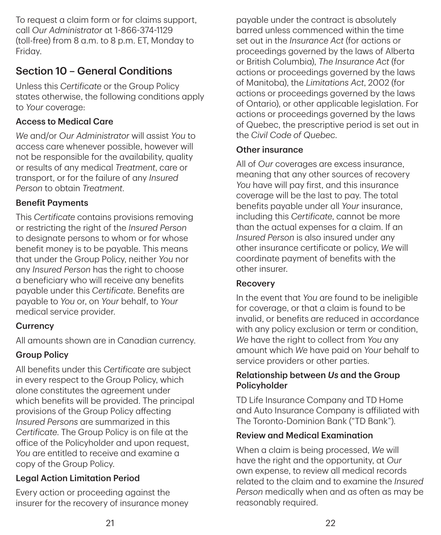To request a claim form or for claims support, call *Our Administrator* at 1-866-374-1129 (toll‑free) from 8 a.m. to 8 p.m. ET, Monday to Friday.

## Section 10 – General Conditions

Unless this *Certificate* or the Group Policy states otherwise, the following conditions apply to *Your* coverage:

### Access to Medical Care

*We* and/or *Our Administrator* will assist *You* to access care whenever possible, however will not be responsible for the availability, quality or results of any medical *Treatment*, care or transport, or for the failure of any *Insured Person* to obtain *Treatment*.

### Benefit Payments

This *Certificate* contains provisions removing or restricting the right of the *Insured Person* to designate persons to whom or for whose benefit money is to be payable. This means that under the Group Policy, neither *You* nor any *Insured Person* has the right to choose a beneficiary who will receive any benefits payable under this *Certificate*. Benefits are payable to *You* or, on *Your* behalf, to *Your* medical service provider.

### **Currency**

All amounts shown are in Canadian currency.

### Group Policy

All benefits under this *Certificate* are subject in every respect to the Group Policy, which alone constitutes the agreement under which benefits will be provided. The principal provisions of the Group Policy affecting *Insured Persons* are summarized in this *Certificate*. The Group Policy is on file at the office of the Policyholder and upon request, *You* are entitled to receive and examine a copy of the Group Policy.

### Legal Action Limitation Period

Every action or proceeding against the insurer for the recovery of insurance money

payable under the contract is absolutely barred unless commenced within the time set out in the *Insurance Act* (for actions or proceedings governed by the laws of Alberta or British Columbia), *The Insurance Act* (for actions or proceedings governed by the laws of Manitoba), the *Limitations Act*, 2002 (for actions or proceedings governed by the laws of Ontario), or other applicable legislation. For actions or proceedings governed by the laws of Quebec, the prescriptive period is set out in the *Civil Code of Quebec*.

### Other insurance

All of *Our* coverages are excess insurance, meaning that any other sources of recovery *You* have will pay first, and this insurance coverage will be the last to pay. The total benefits payable under all *Your* insurance, including this *Certificate*, cannot be more than the actual expenses for a claim. If an *Insured Person* is also insured under any other insurance certificate or policy, *We* will coordinate payment of benefits with the other insurer.

#### Recovery

In the event that *You* are found to be ineligible for coverage, or that a claim is found to be invalid, or benefits are reduced in accordance with any policy exclusion or term or condition, *We* have the right to collect from *You* any amount which *We* have paid on *Your* behalf to service providers or other parties.

#### Relationship between *Us* and the Group Policyholder

TD Life Insurance Company and TD Home and Auto Insurance Company is affiliated with The Toronto‑Dominion Bank ("TD Bank").

### Review and Medical Examination

When a claim is being processed, *We* will have the right and the opportunity, at *Our* own expense, to review all medical records related to the claim and to examine the *Insured Person* medically when and as often as may be reasonably required.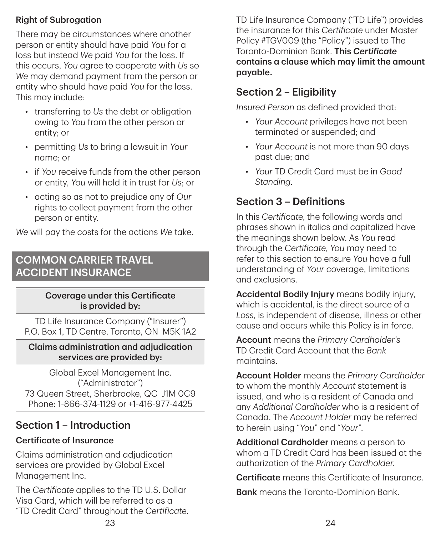### Right of Subrogation

There may be circumstances where another person or entity should have paid *You* for a loss but instead *We* paid *You* for the loss. If this occurs, *You* agree to cooperate with *Us* so *We* may demand payment from the person or entity who should have paid *You* for the loss. This may include:

- transferring to *Us* the debt or obligation owing to *You* from the other person or entity; or
- permitting *Us* to bring a lawsuit in *Your* name; or
- if *You* receive funds from the other person or entity, *You* will hold it in trust for *Us*; or
- acting so as not to prejudice any of *Our* rights to collect payment from the other person or entity.

*We* will pay the costs for the actions *We* take.

## COMMON CARRIER TRAVEL ACCIDENT INSURANCE

#### Coverage under this Certificate is provided by:

TD Life Insurance Company ("Insurer") P.O. Box 1, TD Centre, Toronto, ON M5K 1A2

Claims administration and adjudication services are provided by:

Global Excel Management Inc. ("Administrator") 73 Queen Street, Sherbrooke, QC J1M 0C9 Phone: 1-866-374-1129 or +1-416-977-4425

## Section 1 – Introduction

### Certificate of Insurance

Claims administration and adjudication services are provided by Global Excel Management Inc.

The *Certificate* applies to the TD U.S. Dollar Visa Card, which will be referred to as a "TD Credit Card" throughout the *Certificate*. TD Life Insurance Company ("TD Life") provides the insurance for this *Certificate* under Master Policy #TGV009 (the "Policy") issued to The Toronto‑Dominion Bank. This *Certificate* contains a clause which may limit the amount payable.

## Section 2 – Eligibility

*Insured Person* as defined provided that:

- *Your Account* privileges have not been terminated or suspended; and
- *Your Account* is not more than 90 days past due; and
- *Your* TD Credit Card must be in *Good Standing*.

## Section 3 – Definitions

In this *Certificate*, the following words and phrases shown in italics and capitalized have the meanings shown below. As *You* read through the *Certificate*, *You* may need to refer to this section to ensure *You* have a full understanding of *Your* coverage, limitations and exclusions.

Accidental Bodily Injury means bodily injury, which is accidental, is the direct source of a *Loss*, is independent of disease, illness or other cause and occurs while this Policy is in force.

Account means the *Primary Cardholder's* TD Credit Card Account that the *Bank* maintains.

Account Holder means the *Primary Cardholder* to whom the monthly *Account* statement is issued, and who is a resident of Canada and any *Additional Cardholder* who is a resident of Canada. The *Account Holder* may be referred to herein using "*You*" and "*Your*".

Additional Cardholder means a person to whom a TD Credit Card has been issued at the authorization of the *Primary Cardholder*.

Certificate means this Certificate of Insurance.

Bank means the Toronto‑Dominion Bank.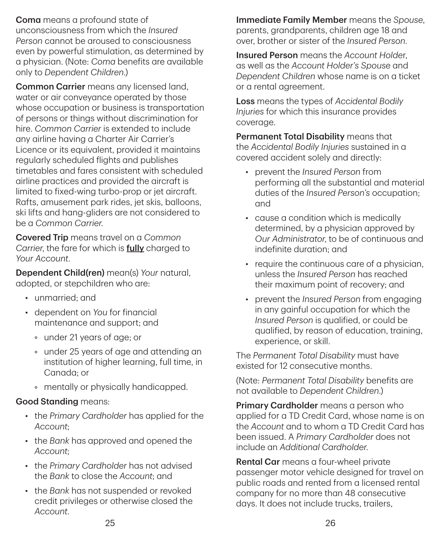**Coma** means a profound state of unconsciousness from which the *Insured Person* cannot be aroused to consciousness even by powerful stimulation, as determined by a physician. (Note: *Coma* benefits are available only to *Dependent Children*.)

Common Carrier means any licensed land, water or air conveyance operated by those whose occupation or business is transportation of persons or things without discrimination for hire. *Common Carrier* is extended to include any airline having a Charter Air Carrier's Licence or its equivalent, provided it maintains regularly scheduled flights and publishes timetables and fares consistent with scheduled airline practices and provided the aircraft is limited to fixed-wing turbo-prop or jet aircraft. Rafts, amusement park rides, jet skis, balloons, ski lifts and hang‑gliders are not considered to be a *Common Carrier*.

Covered Trip means travel on a *Common Carrier*, the fare for which is fully charged to *Your Account*.

Dependent Child(ren) mean(s) *Your* natural, adopted, or stepchildren who are:

- unmarried; and
- dependent on *You* for financial maintenance and support; and
	- under 21 years of age; or
	- under 25 years of age and attending an institution of higher learning, full time, in Canada; or
	- mentally or physically handicapped.

### Good Standing means:

- the *Primary Cardholder* has applied for the *Account*;
- the *Bank* has approved and opened the *Account*;
- the *Primary Cardholder* has not advised the *Bank* to close the *Account*; and
- the *Bank* has not suspended or revoked credit privileges or otherwise closed the *Account*.

Immediate Family Member means the *Spouse*, parents, grandparents, children age 18 and over, brother or sister of the *Insured Person*.

Insured Person means the *Account Holde*r, as well as the *Account Holder's Spouse* and *Dependent Children* whose name is on a ticket or a rental agreement.

Loss means the types of *Accidental Bodily Injuries* for which this insurance provides coverage.

Permanent Total Disability means that the *Accidental Bodily Injuries* sustained in a covered accident solely and directly:

- prevent the *Insured Person* from performing all the substantial and material duties of the *Insured Person's* occupation; and
- cause a condition which is medically determined, by a physician approved by *Our Administrator*, to be of continuous and indefinite duration; and
- require the continuous care of a physician, unless the *Insured Person* has reached their maximum point of recovery; and
- prevent the *Insured Person* from engaging in any gainful occupation for which the *Insured Person* is qualified, or could be qualified, by reason of education, training, experience, or skill.

The *Permanent Total Disability* must have existed for 12 consecutive months.

(Note: *Permanent Total Disability* benefits are not available to *Dependent Children*.)

Primary Cardholder means a person who applied for a TD Credit Card, whose name is on the *Account* and to whom a TD Credit Card has been issued. A *Primary Cardholder* does not include an *Additional Cardholder*.

Rental Car means a four-wheel private passenger motor vehicle designed for travel on public roads and rented from a licensed rental company for no more than 48 consecutive days. It does not include trucks, trailers,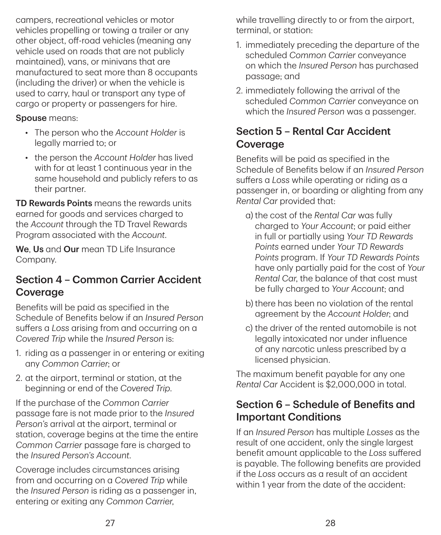campers, recreational vehicles or motor vehicles propelling or towing a trailer or any other object, off‑road vehicles (meaning any vehicle used on roads that are not publicly maintained), vans, or minivans that are manufactured to seat more than 8 occupants (including the driver) or when the vehicle is used to carry, haul or transport any type of cargo or property or passengers for hire.

#### Spouse means:

- The person who the *Account Holder* is legally married to; or
- the person the *Account Holder* has lived with for at least 1 continuous year in the same household and publicly refers to as their partner.

TD Rewards Points means the rewards units earned for goods and services charged to the *Account* through the TD Travel Rewards Program associated with the *Account*.

We, Us and Our mean TD Life Insurance Company.

## Section 4 – Common Carrier Accident Coverage

Benefits will be paid as specified in the Schedule of Benefits below if an *Insured Person* suffers a *Loss* arising from and occurring on a *Covered Trip* while the *Insured Person* is:

- 1. riding as a passenger in or entering or exiting any *Common Carrier*; or
- 2. at the airport, terminal or station, at the beginning or end of the *Covered Trip*.

If the purchase of the *Common Carrier* passage fare is not made prior to the *Insured Person's* arrival at the airport, terminal or station, coverage begins at the time the entire *Common Carrier* passage fare is charged to the *Insured Person's Account*.

Coverage includes circumstances arising from and occurring on a *Covered Trip* while the *Insured Person* is riding as a passenger in, entering or exiting any *Common Carrier*,

while travelling directly to or from the airport, terminal, or station:

- 1. immediately preceding the departure of the scheduled *Common Carrier* conveyance on which the *Insured Person* has purchased passage; and
- 2. immediately following the arrival of the scheduled *Common Carrier* conveyance on which the *Insured Person* was a passenger.

## Section 5 – Rental Car Accident Coverage

Benefits will be paid as specified in the Schedule of Benefits below if an *Insured Person* suffers a *Loss* while operating or riding as a passenger in, or boarding or alighting from any *Rental Car* provided that:

- a) the cost of the *Rental Car* was fully charged to *Your Account*; or paid either in full or partially using *Your TD Rewards Points* earned under *Your TD Rewards Points* program. If *Your TD Rewards Points* have only partially paid for the cost of *Your Rental Car*, the balance of that cost must be fully charged to *Your Account*; and
- b) there has been no violation of the rental agreement by the *Account Holder*; and
- c) the driver of the rented automobile is not legally intoxicated nor under influence of any narcotic unless prescribed by a licensed physician.

The maximum benefit payable for any one *Rental Car* Accident is \$2,000,000 in total.

## Section 6 – Schedule of Benefits and Important Conditions

If an *Insured Person* has multiple *Losses* as the result of one accident, only the single largest benefit amount applicable to the *Loss* suffered is payable. The following benefits are provided if the *Loss* occurs as a result of an accident within 1 year from the date of the accident: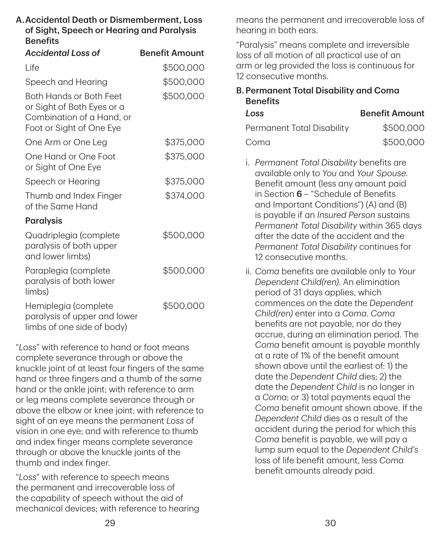| <b>Accidental Loss of</b>                                                                                      | <b>Benefit Amount</b> |
|----------------------------------------------------------------------------------------------------------------|-----------------------|
| Life                                                                                                           | \$500,000             |
| Speech and Hearing                                                                                             | \$500,000             |
| Both Hands or Both Feet<br>or Sight of Both Eyes or a<br>Combination of a Hand, or<br>Foot or Sight of One Eye | \$500,000             |
| One Arm or One Leg                                                                                             | \$375,000             |
| One Hand or One Foot<br>or Sight of One Eye                                                                    | \$375,000             |
| Speech or Hearing                                                                                              | \$375,000             |
| Thumb and Index Finger<br>of the Same Hand                                                                     | \$374,000             |
| <b>Paralysis</b>                                                                                               |                       |
| Quadriplegia (complete<br>paralysis of both upper<br>and lower limbs)                                          | \$500,000             |
| Paraplegia (complete<br>paralysis of both lower<br>limbs)                                                      | \$500,000             |
| Hemiplegia (complete<br>paralysis of upper and lower<br>limbs of one side of body)                             | \$500,000             |

"*Loss*" with reference to hand or foot means complete severance through or above the knuckle joint of at least four fingers of the same hand or three fingers and a thumb of the same hand or the ankle joint; with reference to arm or leg means complete severance through or above the elbow or knee joint; with reference to sight of an eye means the permanent *Loss* of vision in one eye; and with reference to thumb and index finger means complete severance through or above the knuckle joints of the thumb and index finger.

"*Loss*" with reference to speech means the permanent and irrecoverable loss of the capability of speech without the aid of mechanical devices; with reference to hearing

means the permanent and irrecoverable loss of hearing in both ears.

"Paralysis" means complete and irreversible loss of all motion of all practical use of an arm or leg provided the loss is continuous for 12 consecutive months.

B. Permanent Total Disability and Coma **Benefits** 

| Loss                       | <b>Benefit Amount</b> |
|----------------------------|-----------------------|
| Permanent Total Disability | \$500,000             |
| Coma                       | \$500,000             |

- i. *Permanent Total Disability* benefits are available only to *You* and *Your Spouse*. Benefit amount (less any amount paid in Section  $6$  – "Schedule of Benefits and Important Conditions") (A) and (B) is payable if an *Insured Person* sustains *Permanent Total Disability* within 365 days after the date of the accident and the *Permanent Total Disability* continues for 12 consecutive months.
- ii. *Coma* benefits are available only to *Your Dependent Child(ren)*. An elimination period of 31 days applies, which commences on the date the *Dependent Child(ren)* enter into a *Coma*. *Coma* benefits are not payable, nor do they accrue, during an elimination period. The *Coma* benefit amount is payable monthly at a rate of 1% of the benefit amount shown above until the earliest of: 1) the date the *Dependent Child* dies; 2) the date the *Dependent Child* is no longer in a *Coma*; or 3) total payments equal the *Coma* benefit amount shown above. If the *Dependent Child* dies as a result of the accident during the period for which this *Coma* benefit is payable, we will pay a lump sum equal to the *Dependent Child's* loss of life benefit amount, less *Coma* benefit amounts already paid.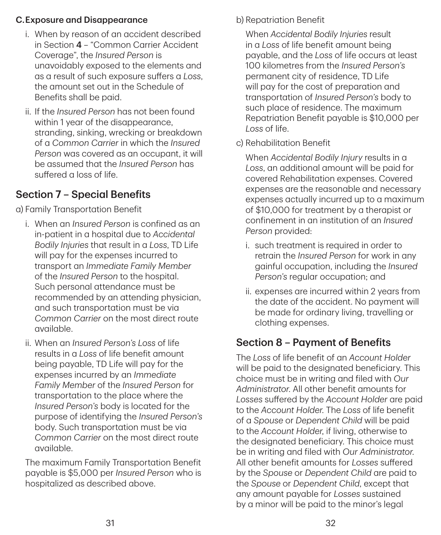### C. Exposure and Disappearance

- i. When by reason of an accident described in Section 4 – "Common Carrier Accident Coverage", the *Insured Person* is unavoidably exposed to the elements and as a result of such exposure suffers a *Loss*, the amount set out in the Schedule of Benefits shall be paid.
- ii. If the *Insured Person* has not been found within 1 year of the disappearance, stranding, sinking, wrecking or breakdown of a *Common Carrier* in which the *Insured Person* was covered as an occupant, it will be assumed that the *Insured Person* has suffered a loss of life.

## Section 7 – Special Benefits

a) Family Transportation Benefit

- i. When an *Insured Person* is confined as an in‑patient in a hospital due to *Accidental Bodily Injuries* that result in a *Loss*, TD Life will pay for the expenses incurred to transport an *Immediate Family Member* of the *Insured Person* to the hospital. Such personal attendance must be recommended by an attending physician, and such transportation must be via *Common Carrier* on the most direct route available.
- ii. When an *Insured Person's Loss* of life results in a *Loss* of life benefit amount being payable, TD Life will pay for the expenses incurred by an *Immediate Family Member* of the *Insured Person* for transportation to the place where the *Insured Person's* body is located for the purpose of identifying the *Insured Person's* body. Such transportation must be via *Common Carrier* on the most direct route available.

The maximum Family Transportation Benefit payable is \$5,000 per *Insured Person* who is hospitalized as described above.

b) Repatriation Benefit

When *Accidental Bodily Injuries* result in a *Loss* of life benefit amount being payable, and the *Loss* of life occurs at least 100 kilometres from the *Insured Person's* permanent city of residence, TD Life will pay for the cost of preparation and transportation of *Insured Person's* body to such place of residence. The maximum Repatriation Benefit payable is \$10,000 per *Loss* of life.

c) Rehabilitation Benefit

When *Accidental Bodily Injury* results in a *Loss*, an additional amount will be paid for covered Rehabilitation expenses. Covered expenses are the reasonable and necessary expenses actually incurred up to a maximum of \$10,000 for treatment by a therapist or confinement in an institution of an *Insured Person* provided:

- i. such treatment is required in order to retrain the *Insured Person* for work in any gainful occupation, including the *Insured Person's* regular occupation; and
- ii. expenses are incurred within 2 years from the date of the accident. No payment will be made for ordinary living, travelling or clothing expenses.

## Section 8 – Payment of Benefits

The *Loss* of life benefit of an *Account Holder* will be paid to the designated beneficiary. This choice must be in writing and filed with *Our Administrator*. All other benefit amounts for *Losses* suffered by the *Account Holder* are paid to the *Account Holder*. The *Loss* of life benefit of a *Spouse* or *Dependent Child* will be paid to the *Account Holder*, if living, otherwise to the designated beneficiary. This choice must be in writing and filed with *Our Administrator*. All other benefit amounts for *Losses* suffered by the *Spouse* or *Dependent Child* are paid to the *Spouse* or *Dependent Child*, except that any amount payable for *Losses* sustained by a minor will be paid to the minor's legal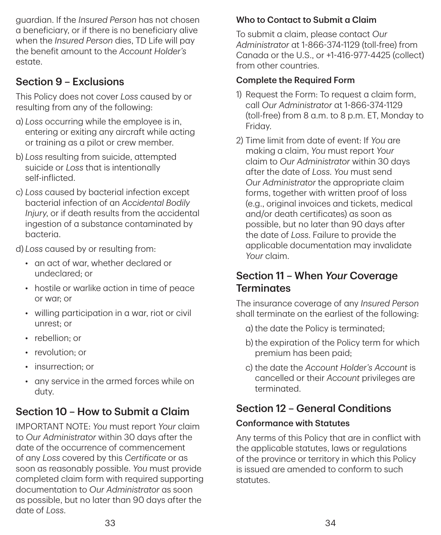guardian. If the *Insured Person* has not chosen a beneficiary, or if there is no beneficiary alive when the *Insured Person* dies, TD Life will pay the benefit amount to the *Account Holder's* estate.

## Section 9 – Exclusions

This Policy does not cover *Loss* caused by or resulting from any of the following:

- a) *Loss* occurring while the employee is in, entering or exiting any aircraft while acting or training as a pilot or crew member.
- b) *Loss* resulting from suicide, attempted suicide or *Loss* that is intentionally self‑inflicted.
- c) *Loss* caused by bacterial infection except bacterial infection of an *Accidental Bodily Injury*, or if death results from the accidental ingestion of a substance contaminated by bacteria.

d) *Loss* caused by or resulting from:

- an act of war, whether declared or undeclared; or
- hostile or warlike action in time of peace or war; or
- willing participation in a war, riot or civil unrest; or
- rebellion: or
- revolution: or
- insurrection; or
- any service in the armed forces while on duty.

## Section 10 – How to Submit a Claim

IMPORTANT NOTE: *You* must report *Your* claim to *Our Administrator* within 30 days after the date of the occurrence of commencement of any *Loss* covered by this *Certificate* or as soon as reasonably possible. *You* must provide completed claim form with required supporting documentation to *Our Administrator* as soon as possible, but no later than 90 days after the date of *Loss*.

## Who to Contact to Submit a Claim

To submit a claim, please contact *Our Administrator* at 1-866-374-1129 (toll‑free) from Canada or the U.S., or +1-416-977-4425 (collect) from other countries.

## Complete the Required Form

- 1) Request the Form: To request a claim form, call *Our Administrator* at 1-866-374-1129 (toll‑free) from 8 a.m. to 8 p.m. ET, Monday to Friday.
- 2) Time limit from date of event: If *You* are making a claim, *You* must report *Your* claim to *Our Administrator* within 30 days after the date of *Loss*. *You* must send *Our Administrator* the appropriate claim forms, together with written proof of loss (e.g., original invoices and tickets, medical and/or death certificates) as soon as possible, but no later than 90 days after the date of *Loss*. Failure to provide the applicable documentation may invalidate *Your* claim.

## Section 11 – When *Your* Coverage **Terminates**

The insurance coverage of any *Insured Person* shall terminate on the earliest of the following:

- a) the date the Policy is terminated;
- b) the expiration of the Policy term for which premium has been paid;
- c) the date the *Account Holder's Account* is cancelled or their *Account* privileges are terminated.

## Section 12 – General Conditions

## Conformance with Statutes

Any terms of this Policy that are in conflict with the applicable statutes, laws or regulations of the province or territory in which this Policy is issued are amended to conform to such statutes.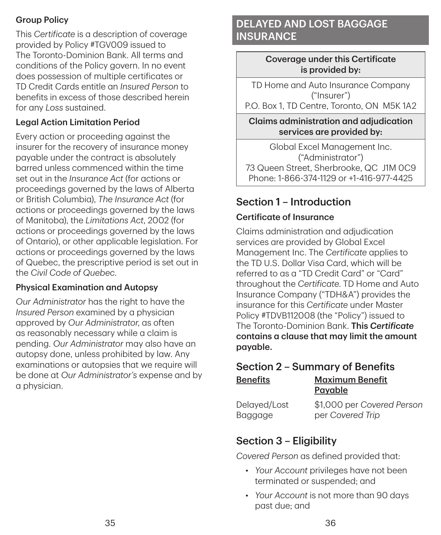### Group Policy

This *Certificate* is a description of coverage provided by Policy #TGV009 issued to The Toronto‑Dominion Bank. All terms and conditions of the Policy govern. In no event does possession of multiple certificates or TD Credit Cards entitle an *Insured Person* to benefits in excess of those described herein for any *Loss* sustained.

### Legal Action Limitation Period

Every action or proceeding against the insurer for the recovery of insurance money payable under the contract is absolutely barred unless commenced within the time set out in the *Insurance Act* (for actions or proceedings governed by the laws of Alberta or British Columbia), *The Insurance Act* (for actions or proceedings governed by the laws of Manitoba), the *Limitations Act*, 2002 (for actions or proceedings governed by the laws of Ontario), or other applicable legislation. For actions or proceedings governed by the laws of Quebec, the prescriptive period is set out in the *Civil Code of Quebec*.

### Physical Examination and Autopsy

*Our Administrator* has the right to have the *Insured Person* examined by a physician approved by *Our Administrator*, as often as reasonably necessary while a claim is pending. *Our Administrator* may also have an autopsy done, unless prohibited by law. Any examinations or autopsies that we require will be done at *Our Administrator's* expense and by a physician.

## DELAYED AND LOST BAGGAGE **INSURANCE**

Coverage under this Certificate is provided by:

TD Home and Auto Insurance Company ("Insurer")

P.O. Box 1, TD Centre, Toronto, ON M5K 1A2

Claims administration and adjudication services are provided by:

Global Excel Management Inc. ("Administrator") 73 Queen Street, Sherbrooke, QC J1M 0C9 Phone: 1-866-374-1129 or +1-416-977-4425

## Section 1 – Introduction

### Certificate of Insurance

Claims administration and adjudication services are provided by Global Excel Management Inc. The *Certificate* applies to the TD U.S. Dollar Visa Card, which will be referred to as a "TD Credit Card" or "Card" throughout the *Certificate*. TD Home and Auto Insurance Company ("TDH&A") provides the insurance for this *Certificate* under Master Policy #TDVB112008 (the "Policy") issued to The Toronto‑Dominion Bank. This *Certificate* contains a clause that may limit the amount payable.

#### Section 2 – Summary of Benefits Benefits Maximum Benefit Payable

Delayed/Lost Baggage \$1,000 per *Covered Person* per *Covered Trip*

## Section 3 – Eligibility

*Covered Person* as defined provided that:

- *Your Account* privileges have not been terminated or suspended; and
- *Your Account* is not more than 90 days past due; and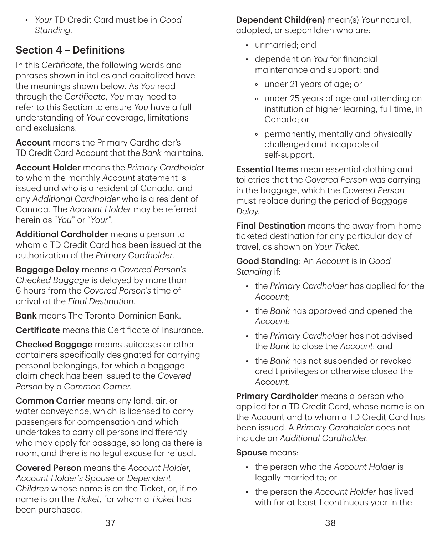• *Your* TD Credit Card must be in *Good Standing*.

## Section 4 – Definitions

In this *Certificate*, the following words and phrases shown in italics and capitalized have the meanings shown below. As *You* read through the *Certificate*, *You* may need to refer to this Section to ensure *You* have a full understanding of *Your* coverage, limitations and exclusions.

Account means the Primary Cardholder's TD Credit Card Account that the *Bank* maintains.

Account Holder means the *Primary Cardholder* to whom the monthly *Account* statement is issued and who is a resident of Canada, and any *Additional Cardholder* who is a resident of Canada. The *Account Holder* may be referred herein as "*You*" or "*Your*".

Additional Cardholder means a person to whom a TD Credit Card has been issued at the authorization of the *Primary Cardholder*.

Baggage Delay means a *Covered Person's Checked Baggage* is delayed by more than 6 hours from the *Covered Person's* time of arrival at the *Final Destination*.

**Bank** means The Toronto-Dominion Bank.

Certificate means this Certificate of Insurance.

Checked Baggage means suitcases or other containers specifically designated for carrying personal belongings, for which a baggage claim check has been issued to the *Covered Person* by a *Common Carrier*.

Common Carrier means any land, air, or water conveyance, which is licensed to carry passengers for compensation and which undertakes to carry all persons indifferently who may apply for passage, so long as there is room, and there is no legal excuse for refusal.

Covered Person means the *Account Holder*, *Account Holder's Spouse* or *Dependent Children* whose name is on the Ticket, or, if no name is on the *Ticket*, for whom a *Ticket* has been purchased.

Dependent Child(ren) mean(s) *Your* natural, adopted, or stepchildren who are:

- unmarried; and
- dependent on *You* for financial maintenance and support; and
	- under 21 years of age; or
	- under 25 years of age and attending an institution of higher learning, full time, in Canada; or
	- permanently, mentally and physically challenged and incapable of self‑support.

**Essential Items** mean essential clothing and toiletries that the *Covered Person* was carrying in the baggage, which the *Covered Person* must replace during the period of *Baggage Delay*.

Final Destination means the away-from-home ticketed destination for any particular day of travel, as shown on *Your Ticket*.

Good Standing: An *Account* is in *Good Standing* if:

- the *Primary Cardholder* has applied for the *Account*;
- the *Bank* has approved and opened the *Account*;
- the *Primary Cardholde*r has not advised the *Bank* to close the *Account*; and
- the *Bank* has not suspended or revoked credit privileges or otherwise closed the *Account*.

Primary Cardholder means a person who applied for a TD Credit Card, whose name is on the Account and to whom a TD Credit Card has been issued. A *Primary Cardholder* does not include an *Additional Cardholder*.

Spouse means:

- the person who the *Account Holder* is legally married to; or
- the person the *Account Holder* has lived with for at least 1 continuous year in the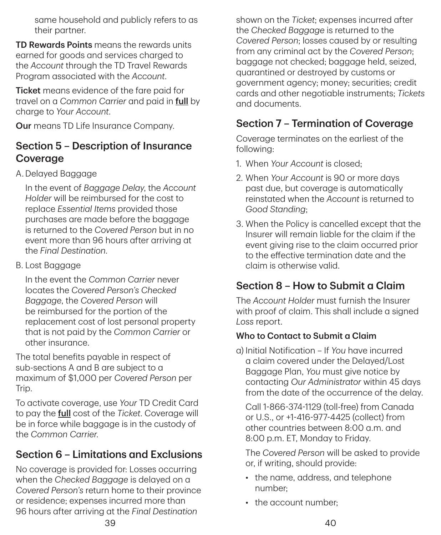same household and publicly refers to as their partner.

TD Rewards Points means the rewards units earned for goods and services charged to the *Account* through the TD Travel Rewards Program associated with the *Account*.

**Ticket** means evidence of the fare paid for travel on a *Common Carrier* and paid in full by charge to *Your Account*.

Our means TD Life Insurance Company.

## Section 5 – Description of Insurance Coverage

A. Delayed Baggage

In the event of *Baggage Delay*, the *Account Holder* will be reimbursed for the cost to replace *Essential Items* provided those purchases are made before the baggage is returned to the *Covered Person* but in no event more than 96 hours after arriving at the *Final Destination*.

B. Lost Baggage

In the event the *Common Carrier* never locates the *Covered Person's Checked Baggage*, the *Covered Person* will be reimbursed for the portion of the replacement cost of lost personal property that is not paid by the *Common Carrier* or other insurance.

The total benefits payable in respect of sub-sections A and B are subject to a maximum of \$1,000 per *Covered Person* per Trip.

To activate coverage, use *Your* TD Credit Card to pay the full cost of the *Ticket*. Coverage will be in force while baggage is in the custody of the *Common Carrier*.

## Section 6 – Limitations and Exclusions

No coverage is provided for: Losses occurring when the *Checked Baggage* is delayed on a *Covered Person's* return home to their province or residence; expenses incurred more than 96 hours after arriving at the *Final Destination*

shown on the *Ticket*; expenses incurred after the *Checked Baggage* is returned to the *Covered Person*; losses caused by or resulting from any criminal act by the *Covered Person*; baggage not checked; baggage held, seized, quarantined or destroyed by customs or government agency; money; securities; credit cards and other negotiable instruments; *Tickets* and documents.

## Section 7 – Termination of Coverage

Coverage terminates on the earliest of the following:

- 1. When *Your Account* is closed;
- 2. When *Your Account* is 90 or more days past due, but coverage is automatically reinstated when the *Account* is returned to *Good Standing*;
- 3. When the Policy is cancelled except that the Insurer will remain liable for the claim if the event giving rise to the claim occurred prior to the effective termination date and the claim is otherwise valid.

## Section 8 – How to Submit a Claim

The *Account Holder* must furnish the Insurer with proof of claim. This shall include a signed *Loss* report.

### Who to Contact to Submit a Claim

a) Initial Notification – If *You* have incurred a claim covered under the Delayed/Lost Baggage Plan, *You* must give notice by contacting *Our Administrator* within 45 days from the date of the occurrence of the delay.

Call 1-866-374-1129 (toll-free) from Canada or U.S., or +1-416-977-4425 (collect) from other countries between  $8:00 \text{ a m}$  and 8:00 p.m. ET, Monday to Friday.

The *Covered Person* will be asked to provide or, if writing, should provide:

- the name, address, and telephone number;
- the account number;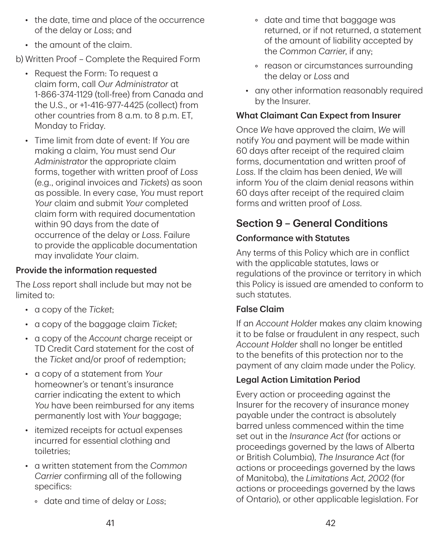- the date, time and place of the occurrence of the delay or *Loss*; and
- the amount of the claim.

b) Written Proof – Complete the Required Form

- Request the Form: To request a claim form, call *Our Administrator* at 1-866-374-1129 (toll‑free) from Canada and the U.S., or +1-416-977-4425 (collect) from other countries from 8 a.m. to 8 p.m. ET, Monday to Friday.
- Time limit from date of event: If *You* are making a claim, *You* must send *Our Administrator* the appropriate claim forms, together with written proof of *Loss* (e.g., original invoices and *Tickets*) as soon as possible. In every case, *You* must report *Your* claim and submit *Your* completed claim form with required documentation within 90 days from the date of occurrence of the delay or *Loss*. Failure to provide the applicable documentation may invalidate *Your* claim.

### Provide the information requested

The *Loss* report shall include but may not be limited to:

- a copy of the *Ticket*;
- a copy of the baggage claim *Ticket*;
- a copy of the *Account* charge receipt or TD Credit Card statement for the cost of the *Ticket* and/or proof of redemption;
- a copy of a statement from *Your* homeowner's or tenant's insurance carrier indicating the extent to which *You* have been reimbursed for any items permanently lost with *Your* baggage;
- itemized receipts for actual expenses incurred for essential clothing and toiletries;
- a written statement from the *Common Carrier* confirming all of the following specifics:
	- date and time of delay or *Loss*;
- date and time that baggage was returned, or if not returned, a statement of the amount of liability accepted by the *Common Carrier*, if any;
- reason or circumstances surrounding the delay or *Loss* and
- any other information reasonably required by the Insurer.

#### What Claimant Can Expect from Insurer

Once *We* have approved the claim, *We* will notify *You* and payment will be made within 60 days after receipt of the required claim forms, documentation and written proof of *Loss*. If the claim has been denied, *We* will inform *You* of the claim denial reasons within 60 days after receipt of the required claim forms and written proof of *Loss*.

## Section 9 – General Conditions

### Conformance with Statutes

Any terms of this Policy which are in conflict with the applicable statutes, laws or regulations of the province or territory in which this Policy is issued are amended to conform to such statutes.

### False Claim

If an *Account Holde*r makes any claim knowing it to be false or fraudulent in any respect, such *Account Holder* shall no longer be entitled to the benefits of this protection nor to the payment of any claim made under the Policy.

### Legal Action Limitation Period

Every action or proceeding against the Insurer for the recovery of insurance money payable under the contract is absolutely barred unless commenced within the time set out in the *Insurance Act* (for actions or proceedings governed by the laws of Alberta or British Columbia), *The Insurance Act* (for actions or proceedings governed by the laws of Manitoba), the *Limitations Act, 2002* (for actions or proceedings governed by the laws of Ontario), or other applicable legislation. For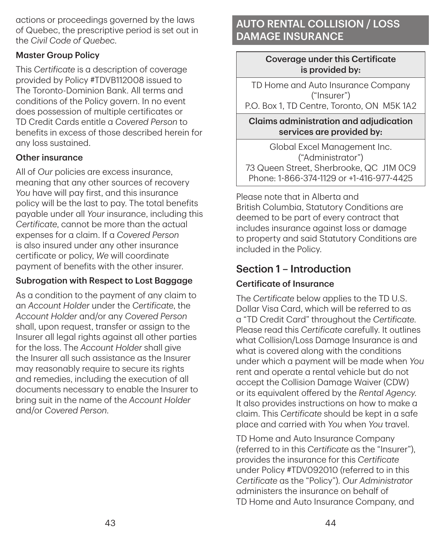actions or proceedings governed by the laws of Quebec, the prescriptive period is set out in the *Civil Code of Quebec*.

#### Master Group Policy

This *Certificate* is a description of coverage provided by Policy #TDVB112008 issued to The Toronto‑Dominion Bank. All terms and conditions of the Policy govern. In no event does possession of multiple certificates or TD Credit Cards entitle a *Covered Person* to benefits in excess of those described herein for any loss sustained.

#### Other insurance

All of *Our* policies are excess insurance, meaning that any other sources of recovery *You* have will pay first, and this insurance policy will be the last to pay. The total benefits payable under all *Your* insurance, including this *Certificate*, cannot be more than the actual expenses for a claim. If a *Covered Person* is also insured under any other insurance certificate or policy, *We* will coordinate payment of benefits with the other insurer.

#### Subrogation with Respect to Lost Baggage

As a condition to the payment of any claim to an *Account Holder* under the *Certificate*, the *Account Holder* and/or any *Covered Person* shall, upon request, transfer or assign to the Insurer all legal rights against all other parties for the loss. The *Account Holder* shall give the Insurer all such assistance as the Insurer may reasonably require to secure its rights and remedies, including the execution of all documents necessary to enable the Insurer to bring suit in the name of the *Account Holder* and/or *Covered Person*.

## AUTO RENTAL COLLISION / LOSS DAMAGE INSURANCE

#### Coverage under this Certificate is provided by:

TD Home and Auto Insurance Company ("Insurer")

P.O. Box 1, TD Centre, Toronto, ON M5K 1A2

Claims administration and adjudication services are provided by:

Global Excel Management Inc. ("Administrator") 73 Queen Street, Sherbrooke, QC J1M 0C9 Phone: 1-866-374-1129 or +1-416-977-4425

Please note that in Alberta and British Columbia, Statutory Conditions are deemed to be part of every contract that includes insurance against loss or damage to property and said Statutory Conditions are included in the Policy.

## Section 1 – Introduction

### Certificate of Insurance

The *Certificate* below applies to the TD U.S. Dollar Visa Card, which will be referred to as a "TD Credit Card" throughout the *Certificate*. Please read this *Certificate* carefully. It outlines what Collision/Loss Damage Insurance is and what is covered along with the conditions under which a payment will be made when *You* rent and operate a rental vehicle but do not accept the Collision Damage Waiver (CDW) or its equivalent offered by the *Rental Agency*. It also provides instructions on how to make a claim. This *Certificate* should be kept in a safe place and carried with *You* when *You* travel.

TD Home and Auto Insurance Company (referred to in this *Certificate* as the "Insurer"), provides the insurance for this *Certificate* under Policy #TDV092010 (referred to in this *Certificate* as the "Policy"). *Our Administrator* administers the insurance on behalf of TD Home and Auto Insurance Company, and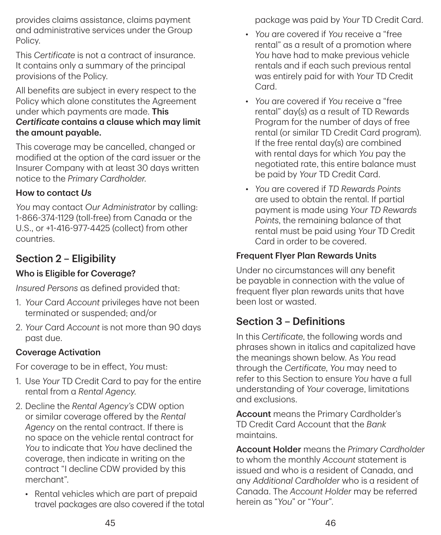provides claims assistance, claims payment and administrative services under the Group Policy.

This *Certificate* is not a contract of insurance. It contains only a summary of the principal provisions of the Policy.

All benefits are subject in every respect to the Policy which alone constitutes the Agreement under which payments are made. This *Certificate* contains a clause which may limit the amount payable.

This coverage may be cancelled, changed or modified at the option of the card issuer or the Insurer Company with at least 30 days written notice to the *Primary Cardholder*.

#### How to contact *Us*

*You* may contact *Our Administrator* by calling: 1-866-374-1129 (toll‑free) from Canada or the U.S., or +1-416-977-4425 (collect) from other countries.

## Section 2 – Eligibility

### Who is Eligible for Coverage?

*Insured Persons* as defined provided that:

- 1. *Your* Card *Account* privileges have not been terminated or suspended; and/or
- 2. *Your* Card *Account* is not more than 90 days past due.

### Coverage Activation

For coverage to be in effect, *You* must:

- 1. Use *Your* TD Credit Card to pay for the entire rental from a *Rental Agency*.
- 2. Decline the *Rental Agency's* CDW option or similar coverage offered by the *Rental Agency* on the rental contract. If there is no space on the vehicle rental contract for *You* to indicate that *You* have declined the coverage, then indicate in writing on the contract "I decline CDW provided by this merchant".
	- Rental vehicles which are part of prepaid travel packages are also covered if the total

package was paid by *Your* TD Credit Card.

- *You* are covered if *You* receive a "free rental" as a result of a promotion where *You* have had to make previous vehicle rentals and if each such previous rental was entirely paid for with *Your* TD Credit Card.
- *You* are covered if *You* receive a "free rental" day(s) as a result of TD Rewards Program for the number of days of free rental (or similar TD Credit Card program). If the free rental day(s) are combined with rental days for which *You* pay the negotiated rate, this entire balance must be paid by *Your* TD Credit Card.
- *You* are covered if *TD Rewards Points* are used to obtain the rental. If partial payment is made using *Your TD Rewards Points*, the remaining balance of that rental must be paid using *Your* TD Credit Card in order to be covered.

### Frequent Flyer Plan Rewards Units

Under no circumstances will any benefit be payable in connection with the value of frequent flyer plan rewards units that have been lost or wasted.

## Section 3 – Definitions

In this *Certificate*, the following words and phrases shown in italics and capitalized have the meanings shown below. As *You* read through the *Certificate*, *You* may need to refer to this Section to ensure *You* have a full understanding of *Your* coverage, limitations and exclusions.

Account means the Primary Cardholder's TD Credit Card Account that the *Bank* maintains.

Account Holder means the *Primary Cardholder* to whom the monthly *Account* statement is issued and who is a resident of Canada, and any *Additional Cardholder* who is a resident of Canada. The *Account Holder* may be referred herein as "*You*" or "*Your*".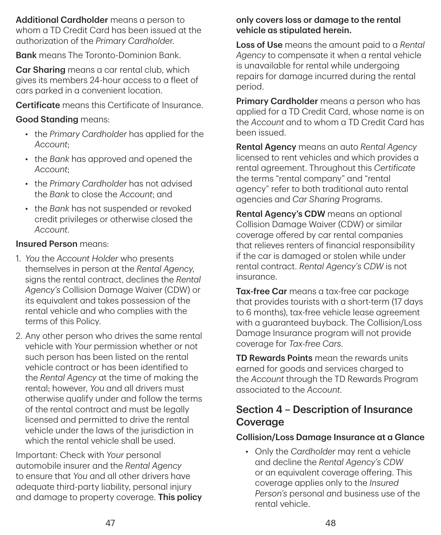Additional Cardholder means a person to whom a TD Credit Card has been issued at the authorization of the *Primary Cardholde*r.

Bank means The Toronto‑Dominion Bank.

Car Sharing means a car rental club, which gives its members 24‑hour access to a fleet of cars parked in a convenient location.

Certificate means this Certificate of Insurance.

#### Good Standing means:

- the *Primary Cardholder* has applied for the *Account*;
- the *Bank* has approved and opened the *Account*;
- the *Primary Cardholder* has not advised the *Bank* to close the *Account*; and
- the *Bank* has not suspended or revoked credit privileges or otherwise closed the *Account*.

#### Insured Person means:

- 1. *You* the *Account Holder* who presents themselves in person at the *Rental Agency*, signs the rental contract, declines the *Rental Agency's* Collision Damage Waiver (CDW) or its equivalent and takes possession of the rental vehicle and who complies with the terms of this Policy.
- 2. Any other person who drives the same rental vehicle with *Your* permission whether or not such person has been listed on the rental vehicle contract or has been identified to the *Rental Agency* at the time of making the rental; however, *You* and all drivers must otherwise qualify under and follow the terms of the rental contract and must be legally licensed and permitted to drive the rental vehicle under the laws of the jurisdiction in which the rental vehicle shall be used.

Important: Check with *Your* personal automobile insurer and the *Rental Agency* to ensure that *You* and all other drivers have adequate third‑party liability, personal injury and damage to property coverage. This policy

#### only covers loss or damage to the rental vehicle as stipulated herein.

Loss of Use means the amount paid to a *Rental Agency* to compensate it when a rental vehicle is unavailable for rental while undergoing repairs for damage incurred during the rental period.

Primary Cardholder means a person who has applied for a TD Credit Card, whose name is on the *Account* and to whom a TD Credit Card has been issued.

Rental Agency means an auto *Rental Agency* licensed to rent vehicles and which provides a rental agreement. Throughout this *Certificate* the terms "rental company" and "rental agency" refer to both traditional auto rental agencies and *Car Sharing* Programs.

Rental Agency's CDW means an optional Collision Damage Waiver (CDW) or similar coverage offered by car rental companies that relieves renters of financial responsibility if the car is damaged or stolen while under rental contract. *Rental Agency's CDW* is not insurance.

Tax-free Car means a tax-free car package that provides tourists with a short-term (17 days to 6 months), tax‑free vehicle lease agreement with a guaranteed buyback. The Collision/Loss Damage Insurance program will not provide coverage for *Tax-free Cars*.

TD Rewards Points mean the rewards units earned for goods and services charged to the *Account* through the TD Rewards Program associated to the *Account*.

## Section 4 – Description of Insurance Coverage

#### Collision/Loss Damage Insurance at a Glance

• Only the *Cardholder* may rent a vehicle and decline the *Rental Agency's CDW* or an equivalent coverage offering. This coverage applies only to the *Insured Person's* personal and business use of the rental vehicle.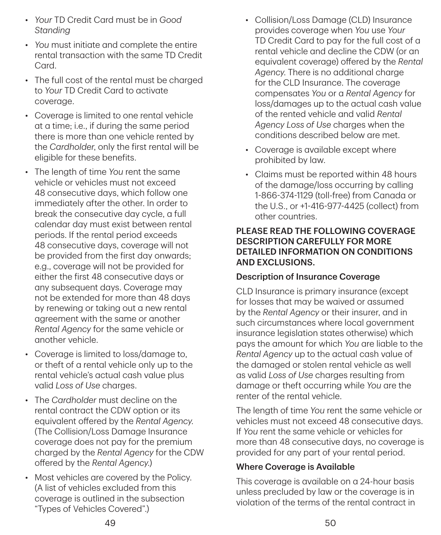- *Your* TD Credit Card must be in *Good Standing*
- *You* must initiate and complete the entire rental transaction with the same TD Credit Card.
- The full cost of the rental must be charged to *Your* TD Credit Card to activate coverage.
- Coverage is limited to one rental vehicle at a time; i.e., if during the same period there is more than one vehicle rented by the *Cardholder*, only the first rental will be eligible for these benefits.
- The length of time *You* rent the same vehicle or vehicles must not exceed 48 consecutive days, which follow one immediately after the other. In order to break the consecutive day cycle, a full calendar day must exist between rental periods. If the rental period exceeds 48 consecutive days, coverage will not be provided from the first day onwards; e.g., coverage will not be provided for either the first 48 consecutive days or any subsequent days. Coverage may not be extended for more than 48 days by renewing or taking out a new rental agreement with the same or another *Rental Agency* for the same vehicle or another vehicle.
- Coverage is limited to loss/damage to, or theft of a rental vehicle only up to the rental vehicle's actual cash value plus valid *Loss of Use* charges.
- The *Cardholder* must decline on the rental contract the CDW option or its equivalent offered by the *Rental Agency*. (The Collision/Loss Damage Insurance coverage does not pay for the premium charged by the *Rental Agency* for the CDW offered by the *Rental Agency*.)
- Most vehicles are covered by the Policy. (A list of vehicles excluded from this coverage is outlined in the subsection "Types of Vehicles Covered".)
- Collision/Loss Damage (CLD) Insurance provides coverage when *You* use *Your* TD Credit Card to pay for the full cost of a rental vehicle and decline the CDW (or an equivalent coverage) offered by the *Rental Agency*. There is no additional charge for the CLD Insurance. The coverage compensates *You* or a *Rental Agency* for loss/damages up to the actual cash value of the rented vehicle and valid *Rental Agency Loss of Use* charges when the conditions described below are met.
- Coverage is available except where prohibited by law.
- Claims must be reported within 48 hours of the damage/loss occurring by calling 1-866-374-1129 (toll‑free) from Canada or the U.S., or +1-416-977-4425 (collect) from other countries.

#### PLEASE READ THE FOLLOWING COVERAGE DESCRIPTION CAREFULLY FOR MORE DETAILED INFORMATION ON CONDITIONS AND EXCLUSIONS.

#### Description of Insurance Coverage

CLD Insurance is primary insurance (except for losses that may be waived or assumed by the *Rental Agency* or their insurer, and in such circumstances where local government insurance legislation states otherwise) which pays the amount for which *You* are liable to the *Rental Agency* up to the actual cash value of the damaged or stolen rental vehicle as well as valid *Loss of Use* charges resulting from damage or theft occurring while *You* are the renter of the rental vehicle.

The length of time *You* rent the same vehicle or vehicles must not exceed 48 consecutive days. If *You* rent the same vehicle or vehicles for more than 48 consecutive days, no coverage is provided for any part of your rental period.

### Where Coverage is Available

This coverage is available on a 24‑hour basis unless precluded by law or the coverage is in violation of the terms of the rental contract in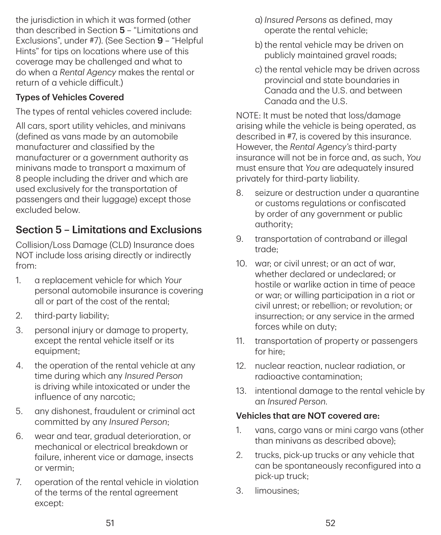the jurisdiction in which it was formed (other than described in Section 5 – "Limitations and Exclusions", under #7). (See Section 9 – "Helpful Hints" for tips on locations where use of this coverage may be challenged and what to do when a *Rental Agency* makes the rental or return of a vehicle difficult.)

### Types of Vehicles Covered

The types of rental vehicles covered include:

All cars, sport utility vehicles, and minivans (defined as vans made by an automobile manufacturer and classified by the manufacturer or a government authority as minivans made to transport a maximum of 8 people including the driver and which are used exclusively for the transportation of passengers and their luggage) except those excluded below.

## Section 5 – Limitations and Exclusions

Collision/Loss Damage (CLD) Insurance does NOT include loss arising directly or indirectly from:

- 1. a replacement vehicle for which *Your* personal automobile insurance is covering all or part of the cost of the rental;
- 2. third-party liability;
- 3. personal injury or damage to property, except the rental vehicle itself or its equipment;
- 4. the operation of the rental vehicle at any time during which any *Insured Person* is driving while intoxicated or under the influence of any narcotic;
- 5. any dishonest, fraudulent or criminal act committed by any *Insured Person*;
- 6. wear and tear, gradual deterioration, or mechanical or electrical breakdown or failure, inherent vice or damage, insects or vermin;
- 7. operation of the rental vehicle in violation of the terms of the rental agreement except:
- a) *Insured Persons* as defined, may operate the rental vehicle;
- b) the rental vehicle may be driven on publicly maintained gravel roads;
- c) the rental vehicle may be driven across provincial and state boundaries in Canada and the U.S. and between Canada and the U.S.

NOTE: It must be noted that loss/damage arising while the vehicle is being operated, as described in #7, is covered by this insurance. However, the *Rental Agency's* third‑party insurance will not be in force and, as such, *You* must ensure that *You* are adequately insured privately for third‑party liability.

- 8. seizure or destruction under a quarantine or customs regulations or confiscated by order of any government or public authority;
- 9. transportation of contraband or illegal trade;
- 10. war; or civil unrest; or an act of war, whether declared or undeclared; or hostile or warlike action in time of peace or war; or willing participation in a riot or civil unrest; or rebellion; or revolution; or insurrection; or any service in the armed forces while on duty;
- 11. transportation of property or passengers for hire;
- 12. nuclear reaction, nuclear radiation, or radioactive contamination;
- 13. intentional damage to the rental vehicle by an *Insured Person*.

### Vehicles that are NOT covered are:

- 1. vans, cargo vans or mini cargo vans (other than minivans as described above);
- 2. trucks, pick‑up trucks or any vehicle that can be spontaneously reconfigured into a pick‑up truck;
- 3. limousines;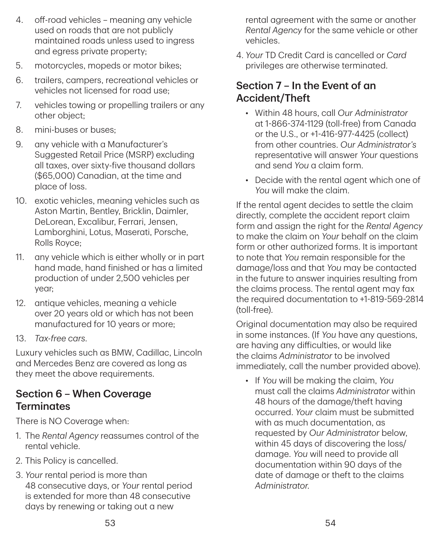- 4. off-road vehicles meaning any vehicle used on roads that are not publicly maintained roads unless used to ingress and egress private property;
- 5. motorcycles, mopeds or motor bikes;
- 6. trailers, campers, recreational vehicles or vehicles not licensed for road use;
- 7. vehicles towing or propelling trailers or any other object;
- 8. mini-buses or buses:
- 9. any vehicle with a Manufacturer's Suggested Retail Price (MSRP) excluding all taxes, over sixty‑five thousand dollars (\$65,000) Canadian, at the time and place of loss.
- 10. exotic vehicles, meaning vehicles such as Aston Martin, Bentley, Bricklin, Daimler, DeLorean, Excalibur, Ferrari, Jensen, Lamborghini, Lotus, Maserati, Porsche, Rolls Royce;
- 11. any vehicle which is either wholly or in part hand made, hand finished or has a limited production of under 2,500 vehicles per year;
- 12. antique vehicles, meaning a vehicle over 20 years old or which has not been manufactured for 10 years or more;
- 13. *Tax-free cars*.

Luxury vehicles such as BMW, Cadillac, Lincoln and Mercedes Benz are covered as long as they meet the above requirements.

## Section 6 – When Coverage **Terminates**

There is NO Coverage when:

- 1. The *Rental Agency* reassumes control of the rental vehicle.
- 2. This Policy is cancelled.
- 3. *Your* rental period is more than 48 consecutive days, or *Your* rental period is extended for more than 48 consecutive days by renewing or taking out a new

rental agreement with the same or another *Rental Agency* for the same vehicle or other vehicles.

4. *Your* TD Credit Card is cancelled or *Card* privileges are otherwise terminated.

## Section 7 – In the Event of an Accident/Theft

- Within 48 hours, call *Our Administrator* at 1-866-374-1129 (toll‑free) from Canada or the U.S., or +1-416-977-4425 (collect) from other countries. *Our Administrator's* representative will answer *Your* questions and send *You* a claim form.
- Decide with the rental agent which one of *You* will make the claim.

If the rental agent decides to settle the claim directly, complete the accident report claim form and assign the right for the *Rental Agency* to make the claim on *Your* behalf on the claim form or other authorized forms. It is important to note that *You* remain responsible for the damage/loss and that *You* may be contacted in the future to answer inquiries resulting from the claims process. The rental agent may fax the required documentation to +1-819-569-2814 (toll‑free).

Original documentation may also be required in some instances. (If *You* have any questions, are having any difficulties, or would like the claims *Administrator* to be involved immediately, call the number provided above).

• If *You* will be making the claim, *You* must call the claims *Administrator* within 48 hours of the damage/theft having occurred. *Your* claim must be submitted with as much documentation, as requested by *Our Administrator* below, within 45 days of discovering the loss/ damage. *You* will need to provide all documentation within 90 days of the date of damage or theft to the claims *Administrator*.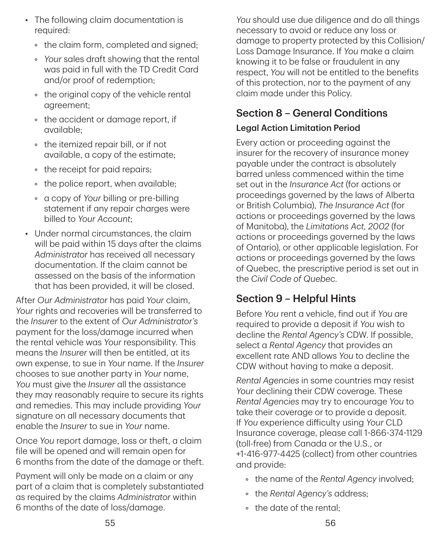- The following claim documentation is required:
	- the claim form, completed and signed;
	- *Your* sales draft showing that the rental was paid in full with the TD Credit Card and/or proof of redemption;
	- the original copy of the vehicle rental agreement;
	- the accident or damage report, if available;
	- the itemized repair bill, or if not available, a copy of the estimate;
	- the receipt for paid repairs;
	- the police report, when available;
	- a copy of *Your* billing or pre‑billing statement if any repair charges were billed to *Your Account*;
- Under normal circumstances, the claim will be paid within 15 days after the claims *Administrator* has received all necessary documentation. If the claim cannot be assessed on the basis of the information that has been provided, it will be closed.

After *Our Administrator* has paid *Your* claim, *Your* rights and recoveries will be transferred to the *Insurer* to the extent of *Our Administrator's* payment for the loss/damage incurred when the rental vehicle was *Your* responsibility. This means the *Insurer* will then be entitled, at its own expense, to sue in *Your* name. If the *Insurer* chooses to sue another party in *Your* name, *You* must give the *Insurer* all the assistance they may reasonably require to secure its rights and remedies. This may include providing *Your* signature on all necessary documents that enable the *Insurer* to sue in *Your* name.

Once *You* report damage, loss or theft, a claim file will be opened and will remain open for 6 months from the date of the damage or theft.

Payment will only be made on a claim or any part of a claim that is completely substantiated as required by the claims *Administrator* within 6 months of the date of loss/damage.

*You* should use due diligence and do all things necessary to avoid or reduce any loss or damage to property protected by this Collision/ Loss Damage Insurance. If *You* make a claim knowing it to be false or fraudulent in any respect, *You* will not be entitled to the benefits of this protection, nor to the payment of any claim made under this Policy.

## Section 8 – General Conditions

### Legal Action Limitation Period

Every action or proceeding against the insurer for the recovery of insurance money payable under the contract is absolutely barred unless commenced within the time set out in the *Insurance Act* (for actions or proceedings governed by the laws of Alberta or British Columbia), *The Insurance Act* (for actions or proceedings governed by the laws of Manitoba), the *Limitations Act, 2002* (for actions or proceedings governed by the laws of Ontario), or other applicable legislation. For actions or proceedings governed by the laws of Quebec, the prescriptive period is set out in the *Civil Code of Quebec*.

## Section 9 – Helpful Hints

Before *You* rent a vehicle, find out if *You* are required to provide a deposit if *You* wish to decline the *Rental Agency's* CDW. If possible, select a *Rental Agency* that provides an excellent rate AND allows *You* to decline the CDW without having to make a deposit.

*Rental Agencies* in some countries may resist *Your* declining their CDW coverage. These *Rental Agencies* may try to encourage *You* to take their coverage or to provide a deposit. If *You* experience difficulty using *Your* CLD Insurance coverage, please call 1-866-374-1129 (toll‑free) from Canada or the U.S., or +1-416-977-4425 (collect) from other countries and provide:

- the name of the *Rental Agency* involved;
- the *Rental Agency's* address;
- the date of the rental;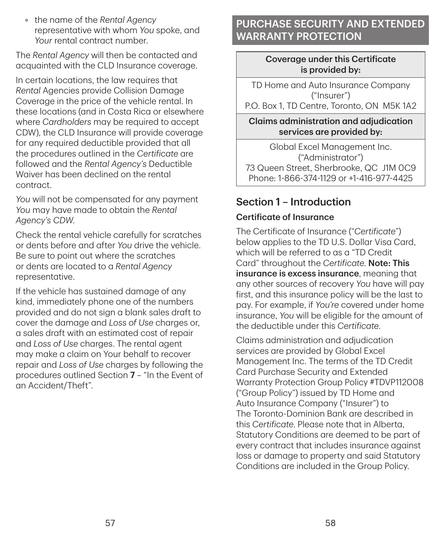• the name of the *Rental Agency* representative with whom *You* spoke, and *Your* rental contract number.

The *Rental Agency* will then be contacted and acquainted with the CLD Insurance coverage.

In certain locations, the law requires that *Rental* Agencies provide Collision Damage Coverage in the price of the vehicle rental. In these locations (and in Costa Rica or elsewhere where *Cardholders* may be required to accept CDW), the CLD Insurance will provide coverage for any required deductible provided that all the procedures outlined in the *Certificate* are followed and the *Rental Agency's* Deductible Waiver has been declined on the rental contract.

*You* will not be compensated for any payment *You* may have made to obtain the *Rental Agency's CDW*.

Check the rental vehicle carefully for scratches or dents before and after *You* drive the vehicle. Be sure to point out where the scratches or dents are located to a *Rental Agency* representative.

If the vehicle has sustained damage of any kind, immediately phone one of the numbers provided and do not sign a blank sales draft to cover the damage and *Loss of Use* charges or, a sales draft with an estimated cost of repair and *Loss of Use* charges. The rental agent may make a claim on Your behalf to recover repair and *Loss of Use* charges by following the procedures outlined Section 7 – "In the Event of an Accident/Theft".

## PURCHASE SECURITY AND EXTENDED WARRANTY PROTECTION

#### Coverage under this Certificate is provided by:

TD Home and Auto Insurance Company ("Insurer")

P.O. Box 1, TD Centre, Toronto, ON M5K 1A2

### Claims administration and adjudication services are provided by:

Global Excel Management Inc. ("Administrator") 73 Queen Street, Sherbrooke, QC J1M 0C9 Phone: 1-866-374-1129 or +1-416-977-4425

## Section 1 – Introduction

## Certificate of Insurance

The Certificate of Insurance ("*Certificate*") below applies to the TD U.S. Dollar Visa Card, which will be referred to as a "TD Credit Card" throughout the *Certificate*. Note: This insurance is excess insurance, meaning that any other sources of recovery *You* have will pay first, and this insurance policy will be the last to pay. For example, if *You're* covered under home insurance, *You* will be eligible for the amount of the deductible under this *Certificate*.

Claims administration and adjudication services are provided by Global Excel Management Inc. The terms of the TD Credit Card Purchase Security and Extended Warranty Protection Group Policy #TDVP112008 ("Group Policy") issued by TD Home and Auto Insurance Company ("Insurer") to The Toronto‑Dominion Bank are described in this *Certificate*. Please note that in Alberta, Statutory Conditions are deemed to be part of every contract that includes insurance against loss or damage to property and said Statutory Conditions are included in the Group Policy.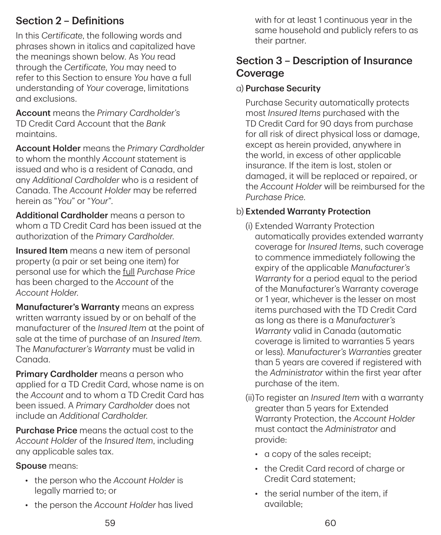## Section 2 – Definitions

In this *Certificate*, the following words and phrases shown in italics and capitalized have the meanings shown below. As *You* read through the *Certificate*, *You* may need to refer to this Section to ensure *You* have a full understanding of *Your* coverage, limitations and exclusions.

Account means the *Primary Cardholder's* TD Credit Card Account that the *Bank* maintains.

Account Holder means the *Primary Cardholder* to whom the monthly *Account* statement is issued and who is a resident of Canada, and any *Additional Cardholder* who is a resident of Canada. The *Account Holder* may be referred herein as "*You*" or "*Your*".

Additional Cardholder means a person to whom a TD Credit Card has been issued at the authorization of the *Primary Cardholder*.

**Insured Item** means a new item of personal property (a pair or set being one item) for personal use for which the full *Purchase Price* has been charged to the *Account* of the *Account Holder*.

Manufacturer's Warranty means an express written warranty issued by or on behalf of the manufacturer of the *Insured Item* at the point of sale at the time of purchase of an *Insured Item*. The *Manufacturer's Warranty* must be valid in Canada.

Primary Cardholder means a person who applied for a TD Credit Card, whose name is on the *Account* and to whom a TD Credit Card has been issued. A *Primary Cardholder* does not include an *Additional Cardholder*.

Purchase Price means the actual cost to the *Account Holder* of the *Insured Item*, including any applicable sales tax.

#### Spouse means:

- the person who the *Account Holder* is legally married to; or
- the person the *Account Holder* has lived

with for at least 1 continuous year in the same household and publicly refers to as their partner.

## Section 3 – Description of Insurance Coverage

### a) Purchase Security

Purchase Security automatically protects most *Insured Items* purchased with the TD Credit Card for 90 days from purchase for all risk of direct physical loss or damage, except as herein provided, anywhere in the world, in excess of other applicable insurance. If the item is lost, stolen or damaged, it will be replaced or repaired, or the *Account Holder* will be reimbursed for the *Purchase Price*.

### b) Extended Warranty Protection

- (i) Extended Warranty Protection automatically provides extended warranty coverage for *Insured Items*, such coverage to commence immediately following the expiry of the applicable *Manufacturer's Warranty* for a period equal to the period of the Manufacturer's Warranty coverage or 1 year, whichever is the lesser on most items purchased with the TD Credit Card as long as there is a *Manufacturer's Warranty* valid in Canada (automatic coverage is limited to warranties 5 years or less). *Manufacturer's Warranties* greater than 5 years are covered if registered with the *Administrator* within the first year after purchase of the item.
- (ii) To register an *Insured Item* with a warranty greater than 5 years for Extended Warranty Protection, the *Account Holder* must contact the *Administrator* and provide:
	- a copy of the sales receipt;
	- the Credit Card record of charge or Credit Card statement;
	- the serial number of the item, if available;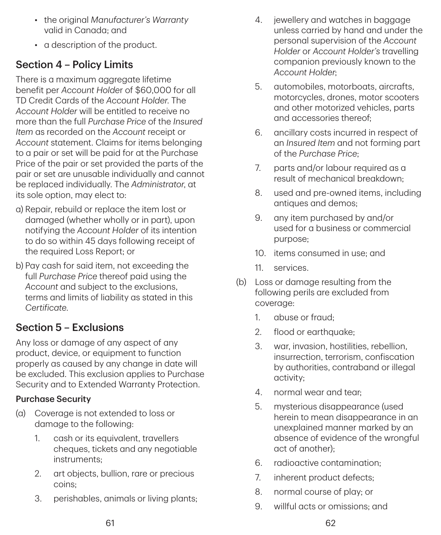- the original *Manufacturer's Warranty* valid in Canada; and
- a description of the product.

## Section 4 – Policy Limits

There is a maximum aggregate lifetime benefit per *Account Holde*r of \$60,000 for all TD Credit Cards of the *Account Holder*. The *Account Holder* will be entitled to receive no more than the full *Purchase Price* of the *Insured Item* as recorded on the *Account* receipt or *Account* statement. Claims for items belonging to a pair or set will be paid for at the Purchase Price of the pair or set provided the parts of the pair or set are unusable individually and cannot be replaced individually. The *Administrator*, at its sole option, may elect to:

- a) Repair, rebuild or replace the item lost or damaged (whether wholly or in part), upon notifying the *Account Holder* of its intention to do so within 45 days following receipt of the required Loss Report; or
- b) Pay cash for said item, not exceeding the full *Purchase Price* thereof paid using the *Account* and subject to the exclusions, terms and limits of liability as stated in this *Certificate*.

## Section 5 – Exclusions

Any loss or damage of any aspect of any product, device, or equipment to function properly as caused by any change in date will be excluded. This exclusion applies to Purchase Security and to Extended Warranty Protection.

#### Purchase Security

- (a) Coverage is not extended to loss or damage to the following:
	- 1. cash or its equivalent, travellers cheques, tickets and any negotiable instruments;
	- 2. art objects, bullion, rare or precious coins;
	- 3. perishables, animals or living plants;
- 4. jewellery and watches in baggage unless carried by hand and under the personal supervision of the *Account Holder* or *Account Holder's* travelling companion previously known to the *Account Holder*;
- 5. automobiles, motorboats, aircrafts, motorcycles, drones, motor scooters and other motorized vehicles, parts and accessories thereof;
- 6. ancillary costs incurred in respect of an *Insured Item* and not forming part of the *Purchase Price*;
- 7. parts and/or labour required as a result of mechanical breakdown;
- 8. used and pre‑owned items, including antiques and demos;
- 9. any item purchased by and/or used for a business or commercial purpose;
- 10. items consumed in use; and
- 11. services.
- (b) Loss or damage resulting from the following perils are excluded from coverage:
	- 1. abuse or fraud;
	- 2. flood or earthquake;
	- 3. war, invasion, hostilities, rebellion, insurrection, terrorism, confiscation by authorities, contraband or illegal activity;
	- 4. normal wear and tear;
	- 5. mysterious disappearance (used herein to mean disappearance in an unexplained manner marked by an absence of evidence of the wrongful act of another);
	- 6. radioactive contamination;
	- 7. inherent product defects;
	- 8. normal course of play; or
	- 9. willful acts or omissions; and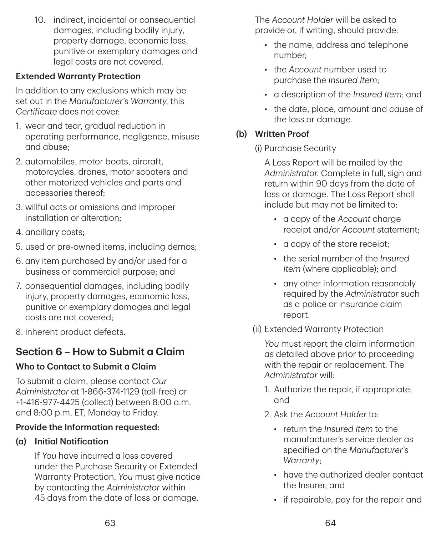10. indirect, incidental or consequential damages, including bodily injury, property damage, economic loss, punitive or exemplary damages and legal costs are not covered.

### Extended Warranty Protection

In addition to any exclusions which may be set out in the *Manufacturer's Warranty*, this *Certificate* does not cover:

- 1. wear and tear, gradual reduction in operating performance, negligence, misuse and abuse;
- 2. automobiles, motor boats, aircraft, motorcycles, drones, motor scooters and other motorized vehicles and parts and accessories thereof;
- 3. willful acts or omissions and improper installation or alteration;
- 4. ancillary costs;
- 5. used or pre‑owned items, including demos;
- 6. any item purchased by and/or used for a business or commercial purpose; and
- 7. consequential damages, including bodily injury, property damages, economic loss, punitive or exemplary damages and legal costs are not covered;
- 8. inherent product defects.

## Section 6 – How to Submit a Claim

## Who to Contact to Submit a Claim

To submit a claim, please contact *Our Administrator* at 1-866-374-1129 (toll‑free) or +1-416-977-4425 (collect) between 8:00 a.m. and 8:00 p.m. ET, Monday to Friday.

## Provide the Information requested:

## (a) Initial Notification

If *You* have incurred a loss covered under the Purchase Security or Extended Warranty Protection, *You* must give notice by contacting the *Administrator* within 45 days from the date of loss or damage.

The *Account Holder* will be asked to provide or, if writing, should provide:

- the name, address and telephone number;
- the *Account* number used to purchase the *Insured Item*;
- a description of the *Insured Item*; and
- the date, place, amount and cause of the loss or damage.

## (b) Written Proof

(i) Purchase Security

A Loss Report will be mailed by the *Administrator*. Complete in full, sign and return within 90 days from the date of loss or damage. The Loss Report shall include but may not be limited to:

- a copy of the *Account* charge receipt and/or *Account* statement;
- a copy of the store receipt;
- the serial number of the *Insured Item* (where applicable); and
- any other information reasonably required by the *Administrator* such as a police or insurance claim report.
- (ii) Extended Warranty Protection

*You* must report the claim information as detailed above prior to proceeding with the repair or replacement. The *Administrator* will:

- 1. Authorize the repair, if appropriate; and
- 2. Ask the *Account Holder* to:
	- return the *Insured Item* to the manufacturer's service dealer as specified on the *Manufacturer's Warranty*;
	- have the authorized dealer contact the Insurer; and
	- if repairable, pay for the repair and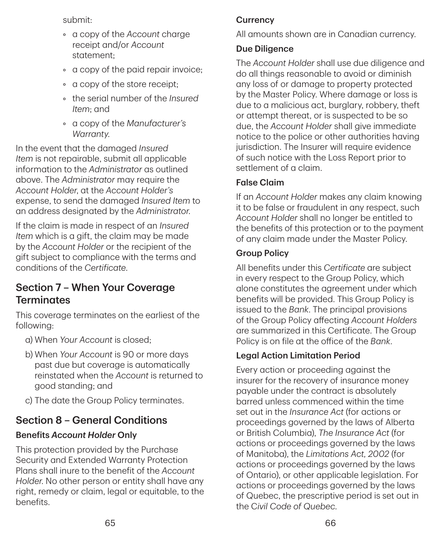submit:

- a copy of the *Account* charge receipt and/or *Account* statement;
- a copy of the paid repair invoice;
- a copy of the store receipt;
- the serial number of the *Insured Item*; and
- a copy of the *Manufacturer's Warranty*.

In the event that the damaged *Insured Item* is not repairable, submit all applicable information to the *Administrator* as outlined above. The *Administrator* may require the *Account Holder*, at the *Account Holder's* expense, to send the damaged *Insured Item* to an address designated by the *Administrator*.

If the claim is made in respect of an *Insured Item* which is a gift, the claim may be made by the *Account Holder* or the recipient of the gift subject to compliance with the terms and conditions of the *Certificate*.

## Section 7 – When Your Coverage **Terminates**

This coverage terminates on the earliest of the following:

- a) When *Your Account* is closed;
- b) When *Your Account* is 90 or more days past due but coverage is automatically reinstated when the *Account* is returned to good standing; and
- c) The date the Group Policy terminates.

## Section 8 – General Conditions

## Benefits *Account Holder* Only

This protection provided by the Purchase Security and Extended Warranty Protection Plans shall inure to the benefit of the *Account Holder*. No other person or entity shall have any right, remedy or claim, legal or equitable, to the benefits.

## **Currency**

All amounts shown are in Canadian currency.

### Due Diligence

The *Account Holder* shall use due diligence and do all things reasonable to avoid or diminish any loss of or damage to property protected by the Master Policy. Where damage or loss is due to a malicious act, burglary, robbery, theft or attempt thereat, or is suspected to be so due, the *Account Holder* shall give immediate notice to the police or other authorities having jurisdiction. The Insurer will require evidence of such notice with the Loss Report prior to settlement of a claim.

### False Claim

If an *Account Holder* makes any claim knowing it to be false or fraudulent in any respect, such *Account Holder* shall no longer be entitled to the benefits of this protection or to the payment of any claim made under the Master Policy.

### Group Policy

All benefits under this *Certificate* are subject in every respect to the Group Policy, which alone constitutes the agreement under which benefits will be provided. This Group Policy is issued to the *Bank*. The principal provisions of the Group Policy affecting *Account Holders* are summarized in this Certificate. The Group Policy is on file at the office of the *Bank*.

## Legal Action Limitation Period

Every action or proceeding against the insurer for the recovery of insurance money payable under the contract is absolutely barred unless commenced within the time set out in the *Insurance Act* (for actions or proceedings governed by the laws of Alberta or British Columbia), *The Insurance Act* (for actions or proceedings governed by the laws of Manitoba), the *Limitations Act, 2002* (for actions or proceedings governed by the laws of Ontario), or other applicable legislation. For actions or proceedings governed by the laws of Quebec, the prescriptive period is set out in the C*ivil Code of Quebec*.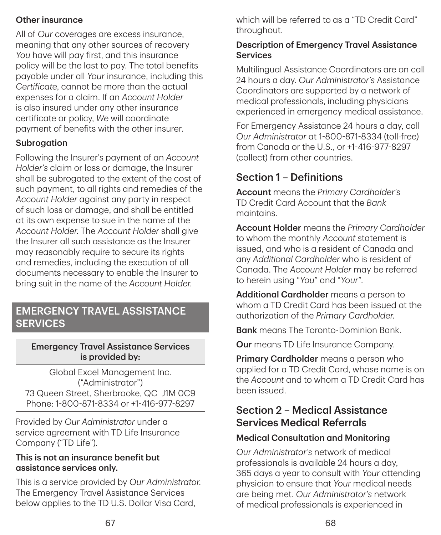### Other insurance

All of *Our* coverages are excess insurance, meaning that any other sources of recovery *You* have will pay first, and this insurance policy will be the last to pay. The total benefits payable under all *Your* insurance, including this *Certificate*, cannot be more than the actual expenses for a claim. If an *Account Holder* is also insured under any other insurance certificate or policy, *We* will coordinate payment of benefits with the other insurer.

### Subrogation

Following the Insurer's payment of an *Account Holder's* claim or loss or damage, the Insurer shall be subrogated to the extent of the cost of such payment, to all rights and remedies of the *Account Holder* against any party in respect of such loss or damage, and shall be entitled at its own expense to sue in the name of the *Account Holder*. The *Account Holder* shall give the Insurer all such assistance as the Insurer may reasonably require to secure its rights and remedies, including the execution of all documents necessary to enable the Insurer to bring suit in the name of the *Account Holder*.

## EMERGENCY TRAVEL ASSISTANCE **SERVICES**

#### Emergency Travel Assistance Services is provided by:

Global Excel Management Inc. ("Administrator") 73 Queen Street, Sherbrooke, QC J1M 0C9 Phone: 1-800-871-8334 or +1-416-977-8297

Provided by *Our Administrator* under a service agreement with TD Life Insurance Company ("TD Life").

#### This is not an insurance benefit but assistance services only.

This is a service provided by *Our Administrator*. The Emergency Travel Assistance Services below applies to the TD U.S. Dollar Visa Card,

which will be referred to as a "TD Credit Card" throughout.

#### Description of Emergency Travel Assistance **Services**

Multilingual Assistance Coordinators are on call 24 hours a day. *Our Administrator's* Assistance Coordinators are supported by a network of medical professionals, including physicians experienced in emergency medical assistance.

For Emergency Assistance 24 hours a day, call *Our Administrator* at 1-800-871-8334 (toll‑free) from Canada or the U.S., or +1-416-977-8297 (collect) from other countries.

## Section 1 – Definitions

Account means the *Primary Cardholder's* TD Credit Card Account that the *Bank* maintains.

Account Holder means the *Primary Cardholder* to whom the monthly *Account* statement is issued, and who is a resident of Canada and any *Additional Cardholder* who is resident of Canada. The *Account Holder* may be referred to herein using "*You*" and "*Your*".

Additional Cardholder means a person to whom a TD Credit Card has been issued at the authorization of the *Primary Cardholder*.

**Bank** means The Toronto-Dominion Bank.

Our means TD Life Insurance Company.

Primary Cardholder means a person who applied for a TD Credit Card, whose name is on the *Account* and to whom a TD Credit Card has been issued.

## Section 2 – Medical Assistance Services Medical Referrals

### Medical Consultation and Monitoring

*Our Administrator's* network of medical professionals is available 24 hours a day, 365 days a year to consult with *Your* attending physician to ensure that *Your* medical needs are being met. *Our Administrator's* network of medical professionals is experienced in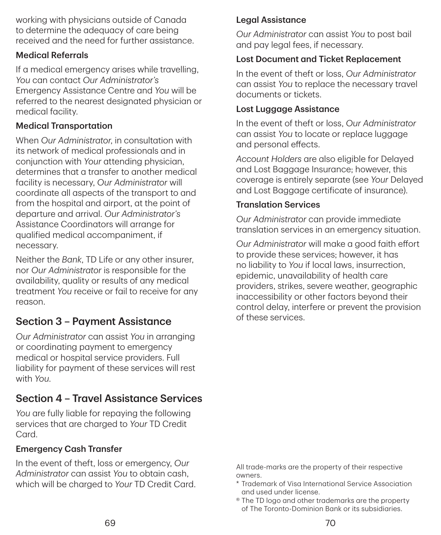working with physicians outside of Canada to determine the adequacy of care being received and the need for further assistance.

#### Medical Referrals

If a medical emergency arises while travelling, *You* can contact *Our Administrator's* Emergency Assistance Centre and *You* will be referred to the nearest designated physician or medical facility.

#### Medical Transportation

When *Our Administrator*, in consultation with its network of medical professionals and in conjunction with *Your* attending physician, determines that a transfer to another medical facility is necessary, *Our Administrator* will coordinate all aspects of the transport to and from the hospital and airport, at the point of departure and arrival. *Our Administrator's* Assistance Coordinators will arrange for qualified medical accompaniment, if necessary.

Neither the *Bank*, TD Life or any other insurer, nor *Our Administrator* is responsible for the availability, quality or results of any medical treatment *You* receive or fail to receive for any reason.

## Section 3 – Payment Assistance

*Our Administrator* can assist *You* in arranging or coordinating payment to emergency medical or hospital service providers. Full liability for payment of these services will rest with *You*.

## Section 4 – Travel Assistance Services

*You* are fully liable for repaying the following services that are charged to *Your* TD Credit Card.

#### Emergency Cash Transfer

In the event of theft, loss or emergency, *Our Administrator* can assist *You* to obtain cash, which will be charged to *Your* TD Credit Card.

#### Legal Assistance

*Our Administrator* can assist *You* to post bail and pay legal fees, if necessary.

#### Lost Document and Ticket Replacement

In the event of theft or loss, *Our Administrator* can assist *You* to replace the necessary travel documents or tickets.

#### Lost Luggage Assistance

In the event of theft or loss, *Our Administrator* can assist *You* to locate or replace luggage and personal effects.

*Account Holders* are also eligible for Delayed and Lost Baggage Insurance; however, this coverage is entirely separate (see *Your* Delayed and Lost Baggage certificate of insurance).

#### Translation Services

*Our Administrator* can provide immediate translation services in an emergency situation.

*Our Administrator* will make a good faith effort to provide these services; however, it has no liability to *You* if local laws, insurrection, epidemic, unavailability of health care providers, strikes, severe weather, geographic inaccessibility or other factors beyond their control delay, interfere or prevent the provision of these services.

All trade‑marks are the property of their respective owners.

- \* T rademark of Visa International Service Association and used under license.
- <sup>®</sup> The TD logo and other trademarks are the property of The Toronto‑Dominion Bank or its subsidiaries.